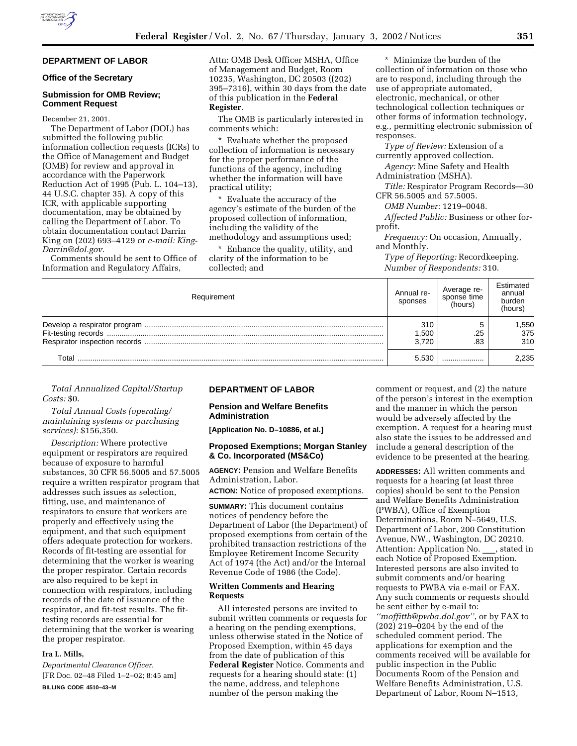# **DEPARTMENT OF LABOR**

# **Office of the Secretary**

### **Submission for OMB Review; Comment Request**

December 21, 2001.

The Department of Labor (DOL) has submitted the following public information collection requests (ICRs) to the Office of Management and Budget (OMB) for review and approval in accordance with the Paperwork Reduction Act of 1995 (Pub. L. 104–13), 44 U.S.C. chapter 35). A copy of this ICR, with applicable supporting documentation, may be obtained by calling the Department of Labor. To obtain documentation contact Darrin King on (202) 693–4129 or *e-mail: King-Darrin@dol.gov.*

Comments should be sent to Office of Information and Regulatory Affairs,

Attn: OMB Desk Officer MSHA, Office of Management and Budget, Room 10235, Washington, DC 20503 ((202) 395–7316), within 30 days from the date of this publication in the **Federal Register**.

The OMB is particularly interested in comments which:

\* Evaluate whether the proposed collection of information is necessary for the proper performance of the functions of the agency, including whether the information will have practical utility;

\* Evaluate the accuracy of the agency's estimate of the burden of the proposed collection of information, including the validity of the methodology and assumptions used;

Enhance the quality, utility, and

clarity of the information to be collected; and

\* Minimize the burden of the collection of information on those who are to respond, including through the use of appropriate automated, electronic, mechanical, or other technological collection techniques or other forms of information technology, e.g., permitting electronic submission of responses.

*Type of Review:* Extension of a currently approved collection.

*Agency:* Mine Safety and Health Administration (MSHA).

*Title:* Respirator Program Records—30 CFR 56.5005 and 57.5005.

*OMB Number:* 1219–0048.

*Affected Public:* Business or other forprofit.

*Frequency:* On occasion, Annually, and Monthly.

*Type of Reporting:* Recordkeeping. *Number of Respondents:* 310.

| Requirement | Annual re-<br>sponses | Average re-<br>sponse time<br>(hours) | Estimated<br>annual<br>burden<br>(hours) |
|-------------|-----------------------|---------------------------------------|------------------------------------------|
|             | 310<br>1,500          | .25                                   | 550, 1<br>375                            |
|             | 3.720                 | .83                                   | 310                                      |
| Total       | 5.530                 |                                       | 2.235                                    |

### *Total Annualized Capital/Startup Costs:* \$0.

# *Total Annual Costs (operating/ maintaining systems or purchasing services):* \$156,350.

*Description:* Where protective equipment or respirators are required because of exposure to harmful substances, 30 CFR 56.5005 and 57.5005 require a written respirator program that addresses such issues as selection, fitting, use, and maintenance of respirators to ensure that workers are properly and effectively using the equipment, and that such equipment offers adequate protection for workers. Records of fit-testing are essential for determining that the worker is wearing the proper respirator. Certain records are also required to be kept in connection with respirators, including records of the date of issuance of the respirator, and fit-test results. The fittesting records are essential for determining that the worker is wearing the proper respirator.

# **Ira L. Mills,**

*Departmental Clearance Officer.* [FR Doc. 02–48 Filed 1–2–02; 8:45 am] **BILLING CODE 4510–43–M**

## **DEPARTMENT OF LABOR**

## **Pension and Welfare Benefits Administration**

**[Application No. D–10886, et al.]**

## **Proposed Exemptions; Morgan Stanley & Co. Incorporated (MS&Co)**

**AGENCY:** Pension and Welfare Benefits Administration, Labor.

**ACTION:** Notice of proposed exemptions.

**SUMMARY:** This document contains notices of pendency before the Department of Labor (the Department) of proposed exemptions from certain of the prohibited transaction restrictions of the Employee Retirement Income Security Act of 1974 (the Act) and/or the Internal Revenue Code of 1986 (the Code).

## **Written Comments and Hearing Requests**

All interested persons are invited to submit written comments or requests for a hearing on the pending exemptions, unless otherwise stated in the Notice of Proposed Exemption, within 45 days from the date of publication of this **Federal Register** Notice. Comments and requests for a hearing should state: (1) the name, address, and telephone number of the person making the

comment or request, and (2) the nature of the person's interest in the exemption and the manner in which the person would be adversely affected by the exemption. A request for a hearing must also state the issues to be addressed and include a general description of the evidence to be presented at the hearing.

**ADDRESSES:** All written comments and requests for a hearing (at least three copies) should be sent to the Pension and Welfare Benefits Administration (PWBA), Office of Exemption Determinations, Room N–5649, U.S. Department of Labor, 200 Constitution Avenue, NW., Washington, DC 20210. Attention: Application No. , stated in each Notice of Proposed Exemption. Interested persons are also invited to submit comments and/or hearing requests to PWBA via e-mail or FAX. Any such comments or requests should be sent either by e-mail to: *''moffittb@pwba.dol.gov''*, or by FAX to (202) 219–0204 by the end of the scheduled comment period. The applications for exemption and the comments received will be available for public inspection in the Public Documents Room of the Pension and Welfare Benefits Administration, U.S. Department of Labor, Room N–1513,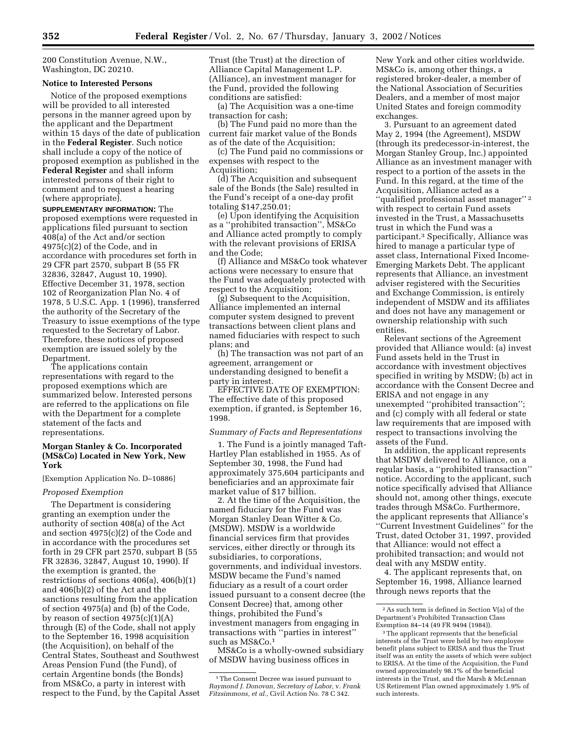200 Constitution Avenue, N.W., Washington, DC 20210.

#### **Notice to Interested Persons**

Notice of the proposed exemptions will be provided to all interested persons in the manner agreed upon by the applicant and the Department within 15 days of the date of publication in the **Federal Register**. Such notice shall include a copy of the notice of proposed exemption as published in the **Federal Register** and shall inform interested persons of their right to comment and to request a hearing (where appropriate).

**SUPPLEMENTARY INFORMATION:** The proposed exemptions were requested in applications filed pursuant to section 408(a) of the Act and/or section 4975(c)(2) of the Code, and in accordance with procedures set forth in 29 CFR part 2570, subpart B (55 FR 32836, 32847, August 10, 1990). Effective December 31, 1978, section 102 of Reorganization Plan No. 4 of 1978, 5 U.S.C. App. 1 (1996), transferred the authority of the Secretary of the Treasury to issue exemptions of the type requested to the Secretary of Labor. Therefore, these notices of proposed exemption are issued solely by the Department.

The applications contain representations with regard to the proposed exemptions which are summarized below. Interested persons are referred to the applications on file with the Department for a complete statement of the facts and representations.

## **Morgan Stanley & Co. Incorporated (MS&Co) Located in New York, New York**

[Exemption Application No. D–10886]

### *Proposed Exemption*

The Department is considering granting an exemption under the authority of section 408(a) of the Act and section 4975(c)(2) of the Code and in accordance with the procedures set forth in 29 CFR part 2570, subpart B (55 FR 32836, 32847, August 10, 1990). If the exemption is granted, the restrictions of sections 406(a), 406(b)(1) and 406(b)(2) of the Act and the sanctions resulting from the application of section 4975(a) and (b) of the Code, by reason of section 4975(c)(1)(A) through (E) of the Code, shall not apply to the September 16, 1998 acquisition (the Acquisition), on behalf of the Central States, Southeast and Southwest Areas Pension Fund (the Fund), of certain Argentine bonds (the Bonds) from MS&Co, a party in interest with respect to the Fund, by the Capital Asset Trust (the Trust) at the direction of Alliance Capital Management L.P. (Alliance), an investment manager for the Fund, provided the following conditions are satisfied:

(a) The Acquisition was a one-time transaction for cash;

(b) The Fund paid no more than the current fair market value of the Bonds as of the date of the Acquisition;

(c) The Fund paid no commissions or expenses with respect to the Acquisition;

(d) The Acquisition and subsequent sale of the Bonds (the Sale) resulted in the Fund's receipt of a one-day profit totaling \$147,250.01;

(e) Upon identifying the Acquisition as a ''prohibited transaction'', MS&Co and Alliance acted promptly to comply with the relevant provisions of ERISA and the Code;

(f) Alliance and MS&Co took whatever actions were necessary to ensure that the Fund was adequately protected with respect to the Acquisition;

(g) Subsequent to the Acquisition, Alliance implemented an internal computer system designed to prevent transactions between client plans and named fiduciaries with respect to such plans; and

(h) The transaction was not part of an agreement, arrangement or understanding designed to benefit a party in interest.

EFFECTIVE DATE OF EXEMPTION: The effective date of this proposed exemption, if granted, is September 16, 1998.

#### *Summary of Facts and Representations*

1. The Fund is a jointly managed Taft-Hartley Plan established in 1955. As of September 30, 1998, the Fund had approximately 375,604 participants and beneficiaries and an approximate fair market value of \$17 billion.

2. At the time of the Acquisition, the named fiduciary for the Fund was Morgan Stanley Dean Witter & Co. (MSDW). MSDW is a worldwide financial services firm that provides services, either directly or through its subsidiaries, to corporations, governments, and individual investors. MSDW became the Fund's named fiduciary as a result of a court order issued pursuant to a consent decree (the Consent Decree) that, among other things, prohibited the Fund's investment managers from engaging in transactions with ''parties in interest'' such as MS&Co.1

MS&Co is a wholly-owned subsidiary of MSDW having business offices in

New York and other cities worldwide. MS&Co is, among other things, a registered broker-dealer, a member of the National Association of Securities Dealers, and a member of most major United States and foreign commodity exchanges.

3. Pursuant to an agreement dated May 2, 1994 (the Agreement), MSDW (through its predecessor-in-interest, the Morgan Stanley Group, Inc.) appointed Alliance as an investment manager with respect to a portion of the assets in the Fund. In this regard, at the time of the Acquisition, Alliance acted as a ''qualified professional asset manager'' 2 with respect to certain Fund assets invested in the Trust, a Massachusetts trust in which the Fund was a participant.3 Specifically, Alliance was hired to manage a particular type of asset class, International Fixed Income-Emerging Markets Debt. The applicant represents that Alliance, an investment adviser registered with the Securities and Exchange Commission, is entirely independent of MSDW and its affiliates and does not have any management or ownership relationship with such entities.

Relevant sections of the Agreement provided that Alliance would: (a) invest Fund assets held in the Trust in accordance with investment objectives specified in writing by MSDW; (b) act in accordance with the Consent Decree and ERISA and not engage in any unexempted ''prohibited transaction''; and (c) comply with all federal or state law requirements that are imposed with respect to transactions involving the assets of the Fund.

In addition, the applicant represents that MSDW delivered to Alliance, on a regular basis, a ''prohibited transaction'' notice. According to the applicant, such notice specifically advised that Alliance should not, among other things, execute trades through MS&Co. Furthermore, the applicant represents that Alliance's ''Current Investment Guidelines'' for the Trust, dated October 31, 1997, provided that Alliance: would not effect a prohibited transaction; and would not deal with any MSDW entity.

4. The applicant represents that, on September 16, 1998, Alliance learned through news reports that the

<sup>1</sup>The Consent Decree was issued pursuant to *Raymond J. Donovan, Secretary of Labor,* v. *Frank Fitzsimmons, et al.,* Civil Action No. 78 C 342.

<sup>2</sup>As such term is defined in Section V(a) of the Department's Prohibited Transaction Class Exemption 84–14 (49 FR 9494 (1984)).

<sup>3</sup>The applicant represents that the beneficial interests of the Trust were held by two employee benefit plans subject to ERISA and thus the Trust itself was an entity the assets of which were subject to ERISA. At the time of the Acquisition, the Fund owned approximately 98.1% of the beneficial interests in the Trust, and the Marsh & McLennan US Retirement Plan owned approximately 1.9% of such interests.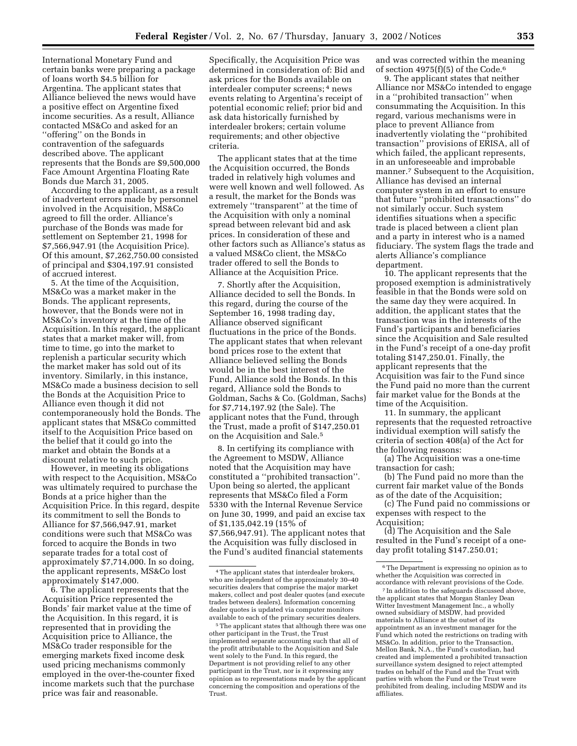International Monetary Fund and certain banks were preparing a package of loans worth \$4.5 billion for Argentina. The applicant states that Alliance believed the news would have a positive effect on Argentine fixed income securities. As a result, Alliance contacted MS&Co and asked for an ''offering'' on the Bonds in contravention of the safeguards described above. The applicant represents that the Bonds are \$9,500,000 Face Amount Argentina Floating Rate Bonds due March 31, 2005.

According to the applicant, as a result of inadvertent errors made by personnel involved in the Acquisition, MS&Co agreed to fill the order. Alliance's purchase of the Bonds was made for settlement on September 21, 1998 for \$7,566,947.91 (the Acquisition Price). Of this amount, \$7,262,750.00 consisted of principal and \$304,197.91 consisted of accrued interest.

5. At the time of the Acquisition, MS&Co was a market maker in the Bonds. The applicant represents, however, that the Bonds were not in MS&Co's inventory at the time of the Acquisition. In this regard, the applicant states that a market maker will, from time to time, go into the market to replenish a particular security which the market maker has sold out of its inventory. Similarly, in this instance, MS&Co made a business decision to sell the Bonds at the Acquisition Price to Alliance even though it did not contemporaneously hold the Bonds. The applicant states that MS&Co committed itself to the Acquisition Price based on the belief that it could go into the market and obtain the Bonds at a discount relative to such price.

However, in meeting its obligations with respect to the Acquisition, MS&Co was ultimately required to purchase the Bonds at a price higher than the Acquisition Price. In this regard, despite its commitment to sell the Bonds to Alliance for \$7,566,947.91, market conditions were such that MS&Co was forced to acquire the Bonds in two separate trades for a total cost of approximately \$7,714,000. In so doing, the applicant represents, MS&Co lost approximately \$147,000.

6. The applicant represents that the Acquisition Price represented the Bonds' fair market value at the time of the Acquisition. In this regard, it is represented that in providing the Acquisition price to Alliance, the MS&Co trader responsible for the emerging markets fixed income desk used pricing mechanisms commonly employed in the over-the-counter fixed income markets such that the purchase price was fair and reasonable.

Specifically, the Acquisition Price was determined in consideration of: Bid and ask prices for the Bonds available on interdealer computer screens; 4 news events relating to Argentina's receipt of potential economic relief; prior bid and ask data historically furnished by interdealer brokers; certain volume requirements; and other objective criteria.

The applicant states that at the time the Acquisition occurred, the Bonds traded in relatively high volumes and were well known and well followed. As a result, the market for the Bonds was extremely ''transparent'' at the time of the Acquisition with only a nominal spread between relevant bid and ask prices. In consideration of these and other factors such as Alliance's status as a valued MS&Co client, the MS&Co trader offered to sell the Bonds to Alliance at the Acquisition Price.

7. Shortly after the Acquisition, Alliance decided to sell the Bonds. In this regard, during the course of the September 16, 1998 trading day, Alliance observed significant fluctuations in the price of the Bonds. The applicant states that when relevant bond prices rose to the extent that Alliance believed selling the Bonds would be in the best interest of the Fund, Alliance sold the Bonds. In this regard, Alliance sold the Bonds to Goldman, Sachs & Co. (Goldman, Sachs) for \$7,714,197.92 (the Sale). The applicant notes that the Fund, through the Trust, made a profit of \$147,250.01 on the Acquisition and Sale.5

8. In certifying its compliance with the Agreement to MSDW, Alliance noted that the Acquisition may have constituted a ''prohibited transaction''. Upon being so alerted, the applicant represents that MS&Co filed a Form 5330 with the Internal Revenue Service on June 30, 1999, and paid an excise tax of \$1,135,042.19 (15% of \$7,566,947.91). The applicant notes that the Acquisition was fully disclosed in the Fund's audited financial statements

and was corrected within the meaning of section 4975 $(f)(5)$  of the Code.<sup>6</sup>

9. The applicant states that neither Alliance nor MS&Co intended to engage in a ''prohibited transaction'' when consummating the Acquisition. In this regard, various mechanisms were in place to prevent Alliance from inadvertently violating the ''prohibited transaction'' provisions of ERISA, all of which failed, the applicant represents, in an unforeseeable and improbable manner.<sup>7</sup> Subsequent to the Acquisition, Alliance has devised an internal computer system in an effort to ensure that future ''prohibited transactions'' do not similarly occur. Such system identifies situations when a specific trade is placed between a client plan and a party in interest who is a named fiduciary. The system flags the trade and alerts Alliance's compliance department.

10. The applicant represents that the proposed exemption is administratively feasible in that the Bonds were sold on the same day they were acquired. In addition, the applicant states that the transaction was in the interests of the Fund's participants and beneficiaries since the Acquisition and Sale resulted in the Fund's receipt of a one-day profit totaling \$147,250.01. Finally, the applicant represents that the Acquisition was fair to the Fund since the Fund paid no more than the current fair market value for the Bonds at the time of the Acquisition.

11. In summary, the applicant represents that the requested retroactive individual exemption will satisfy the criteria of section 408(a) of the Act for the following reasons:

(a) The Acquisition was a one-time transaction for cash;

(b) The Fund paid no more than the current fair market value of the Bonds as of the date of the Acquisition;

(c) The Fund paid no commissions or expenses with respect to the Acquisition;

(d) The Acquisition and the Sale resulted in the Fund's receipt of a oneday profit totaling \$147.250.01;

7 In addition to the safeguards discussed above, the applicant states that Morgan Stanley Dean Witter Investment Management Inc., a wholly owned subsidiary of MSDW, had provided materials to Alliance at the outset of its appointment as an investment manager for the Fund which noted the restrictions on trading with MS&Co. In addition, prior to the Transaction, Mellon Bank, N.A., the Fund's custodian, had created and implemented a prohibited transaction surveillance system designed to reject attempted trades on behalf of the Fund and the Trust with parties with whom the Fund or the Trust were prohibited from dealing, including MSDW and its affiliates.

<sup>4</sup>The applicant states that interdealer brokers, who are independent of the approximately 30–40 securities dealers that comprise the major market makers, collect and post dealer quotes (and execute trades between dealers). Information concerning dealer quotes is updated via computer monitors available to each of the primary securities dealers.

<sup>5</sup>The applicant states that although there was one other participant in the Trust, the Trust implemented separate accounting such that all of the profit attributable to the Acquisition and Sale went solely to the Fund. In this regard, the Department is not providing relief to any other participant in the Trust, nor is it expressing any opinion as to representations made by the applicant concerning the composition and operations of the Trust.

 $^{\rm 6}$  The Department is expressing no opinion as to whether the Acquisition was corrected in accordance with relevant provisions of the Code.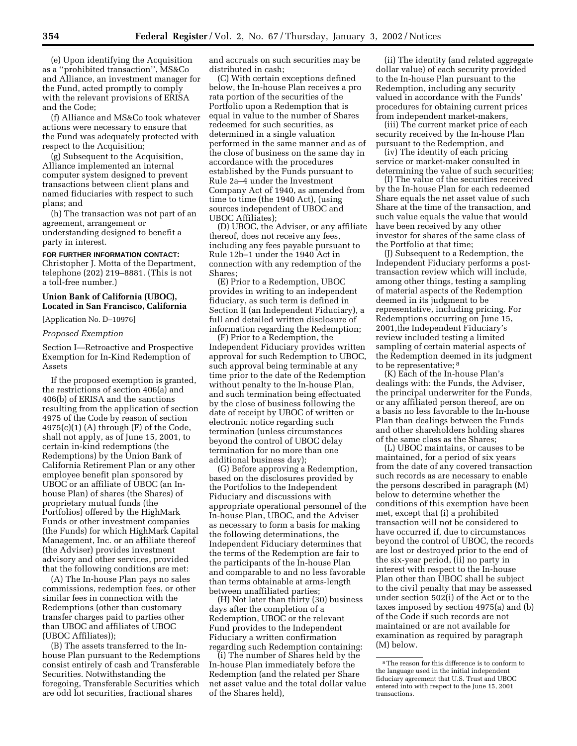(e) Upon identifying the Acquisition as a ''prohibited transaction'', MS&Co and Alliance, an investment manager for the Fund, acted promptly to comply with the relevant provisions of ERISA and the Code;

(f) Alliance and MS&Co took whatever actions were necessary to ensure that the Fund was adequately protected with respect to the Acquisition;

(g) Subsequent to the Acquisition, Alliance implemented an internal computer system designed to prevent transactions between client plans and named fiduciaries with respect to such plans; and

(h) The transaction was not part of an agreement, arrangement or understanding designed to benefit a party in interest.

## **FOR FURTHER INFORMATION CONTACT:**

Christopher J. Motta of the Department, telephone (202) 219–8881. (This is not a toll-free number.)

## **Union Bank of California (UBOC), Located in San Francisco, California**

[Application No. D–10976]

### *Proposed Exemption*

Section I—Retroactive and Prospective Exemption for In-Kind Redemption of Assets

If the proposed exemption is granted, the restrictions of section 406(a) and 406(b) of ERISA and the sanctions resulting from the application of section 4975 of the Code by reason of section  $4975(c)(1)$  (A) through  $(F)$  of the Code, shall not apply, as of June 15, 2001, to certain in-kind redemptions (the Redemptions) by the Union Bank of California Retirement Plan or any other employee benefit plan sponsored by UBOC or an affiliate of UBOC (an Inhouse Plan) of shares (the Shares) of proprietary mutual funds (the Portfolios) offered by the HighMark Funds or other investment companies (the Funds) for which HighMark Capital Management, Inc. or an affiliate thereof (the Adviser) provides investment advisory and other services, provided that the following conditions are met:

(A) The In-house Plan pays no sales commissions, redemption fees, or other similar fees in connection with the Redemptions (other than customary transfer charges paid to parties other than UBOC and affiliates of UBOC (UBOC Affiliates));

(B) The assets transferred to the Inhouse Plan pursuant to the Redemptions consist entirely of cash and Transferable Securities. Notwithstanding the foregoing, Transferable Securities which are odd lot securities, fractional shares

and accruals on such securities may be distributed in cash;

(C) With certain exceptions defined below, the In-house Plan receives a pro rata portion of the securities of the Portfolio upon a Redemption that is equal in value to the number of Shares redeemed for such securities, as determined in a single valuation performed in the same manner and as of the close of business on the same day in accordance with the procedures established by the Funds pursuant to Rule 2a–4 under the Investment Company Act of 1940, as amended from time to time (the 1940 Act), (using sources independent of UBOC and UBOC Affiliates);

(D) UBOC, the Adviser, or any affiliate thereof, does not receive any fees, including any fees payable pursuant to Rule 12b–1 under the 1940 Act in connection with any redemption of the Shares;

(E) Prior to a Redemption, UBOC provides in writing to an independent fiduciary, as such term is defined in Section II (an Independent Fiduciary), a full and detailed written disclosure of information regarding the Redemption;

(F) Prior to a Redemption, the Independent Fiduciary provides written approval for such Redemption to UBOC, such approval being terminable at any time prior to the date of the Redemption without penalty to the In-house Plan, and such termination being effectuated by the close of business following the date of receipt by UBOC of written or electronic notice regarding such termination (unless circumstances beyond the control of UBOC delay termination for no more than one additional business day);

(G) Before approving a Redemption, based on the disclosures provided by the Portfolios to the Independent Fiduciary and discussions with appropriate operational personnel of the In-house Plan, UBOC, and the Adviser as necessary to form a basis for making the following determinations, the Independent Fiduciary determines that the terms of the Redemption are fair to the participants of the In-house Plan and comparable to and no less favorable than terms obtainable at arms-length between unaffiliated parties;

(H) Not later than thirty (30) business days after the completion of a Redemption, UBOC or the relevant Fund provides to the Independent Fiduciary a written confirmation regarding such Redemption containing:

(i) The number of Shares held by the In-house Plan immediately before the Redemption (and the related per Share net asset value and the total dollar value of the Shares held),

(ii) The identity (and related aggregate dollar value) of each security provided to the In-house Plan pursuant to the Redemption, including any security valued in accordance with the Funds' procedures for obtaining current prices from independent market-makers,

(iii) The current market price of each security received by the In-house Plan pursuant to the Redemption, and

(iv) The identity of each pricing service or market-maker consulted in determining the value of such securities;

(I) The value of the securities received by the In-house Plan for each redeemed Share equals the net asset value of such Share at the time of the transaction, and such value equals the value that would have been received by any other investor for shares of the same class of the Portfolio at that time;

(J) Subsequent to a Redemption, the Independent Fiduciary performs a posttransaction review which will include, among other things, testing a sampling of material aspects of the Redemption deemed in its judgment to be representative, including pricing. For Redemptions occurring on June 15, 2001,the Independent Fiduciary's review included testing a limited sampling of certain material aspects of the Redemption deemed in its judgment to be representative; 8

(K) Each of the In-house Plan's dealings with: the Funds, the Adviser, the principal underwriter for the Funds, or any affiliated person thereof, are on a basis no less favorable to the In-house Plan than dealings between the Funds and other shareholders holding shares of the same class as the Shares;

(L) UBOC maintains, or causes to be maintained, for a period of six years from the date of any covered transaction such records as are necessary to enable the persons described in paragraph (M) below to determine whether the conditions of this exemption have been met, except that (i) a prohibited transaction will not be considered to have occurred if, due to circumstances beyond the control of UBOC, the records are lost or destroyed prior to the end of the six-year period, (ii) no party in interest with respect to the In-house Plan other than UBOC shall be subject to the civil penalty that may be assessed under section 502(i) of the Act or to the taxes imposed by section 4975(a) and (b) of the Code if such records are not maintained or are not available for examination as required by paragraph (M) below.

<sup>8</sup>The reason for this difference is to conform to the language used in the initial independent fiduciary agreement that U.S. Trust and UBOC entered into with respect to the June 15, 2001 transactions.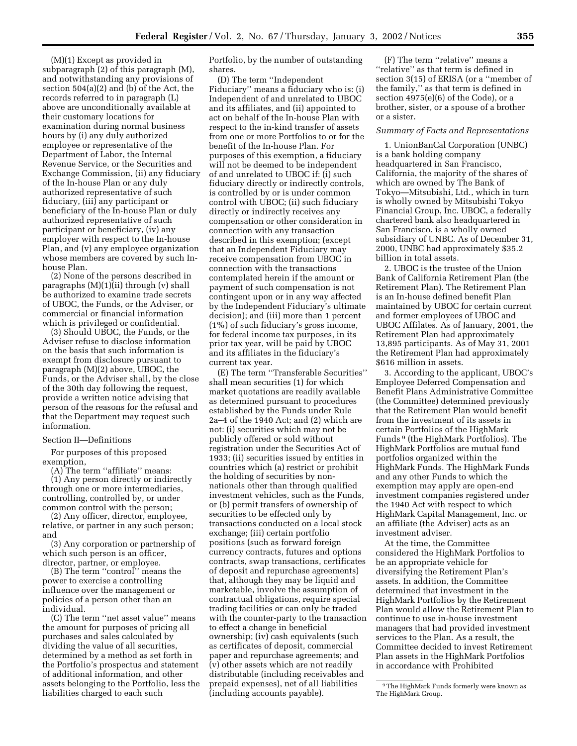(M)(1) Except as provided in subparagraph (2) of this paragraph (M), and notwithstanding any provisions of section 504(a)(2) and (b) of the Act, the records referred to in paragraph (L) above are unconditionally available at their customary locations for examination during normal business hours by (i) any duly authorized employee or representative of the Department of Labor, the Internal Revenue Service, or the Securities and Exchange Commission, (ii) any fiduciary of the In-house Plan or any duly authorized representative of such fiduciary, (iii) any participant or beneficiary of the In-house Plan or duly authorized representative of such participant or beneficiary, (iv) any employer with respect to the In-house Plan, and (v) any employee organization whose members are covered by such Inhouse Plan.

(2) None of the persons described in paragraphs (M)(1)(ii) through (v) shall be authorized to examine trade secrets of UBOC, the Funds, or the Adviser, or commercial or financial information which is privileged or confidential.

(3) Should UBOC, the Funds, or the Adviser refuse to disclose information on the basis that such information is exempt from disclosure pursuant to paragraph (M)(2) above, UBOC, the Funds, or the Adviser shall, by the close of the 30th day following the request, provide a written notice advising that person of the reasons for the refusal and that the Department may request such information.

Section II—Definitions

For purposes of this proposed exemption,

(A) The term ''affiliate'' means: (1) Any person directly or indirectly through one or more intermediaries, controlling, controlled by, or under common control with the person;

(2) Any officer, director, employee, relative, or partner in any such person; and

(3) Any corporation or partnership of which such person is an officer, director, partner, or employee.

(B) The term ''control'' means the power to exercise a controlling influence over the management or policies of a person other than an individual.

(C) The term ''net asset value'' means the amount for purposes of pricing all purchases and sales calculated by dividing the value of all securities, determined by a method as set forth in the Portfolio's prospectus and statement of additional information, and other assets belonging to the Portfolio, less the liabilities charged to each such

Portfolio, by the number of outstanding shares.

(D) The term ''Independent Fiduciary'' means a fiduciary who is: (i) Independent of and unrelated to UBOC and its affiliates, and (ii) appointed to act on behalf of the In-house Plan with respect to the in-kind transfer of assets from one or more Portfolios to or for the benefit of the In-house Plan. For purposes of this exemption, a fiduciary will not be deemed to be independent of and unrelated to UBOC if: (i) such fiduciary directly or indirectly controls, is controlled by or is under common control with UBOC; (ii) such fiduciary directly or indirectly receives any compensation or other consideration in connection with any transaction described in this exemption; (except that an Independent Fiduciary may receive compensation from UBOC in connection with the transactions contemplated herein if the amount or payment of such compensation is not contingent upon or in any way affected by the Independent Fiduciary's ultimate decision); and (iii) more than 1 percent (1%) of such fiduciary's gross income, for federal income tax purposes, in its prior tax year, will be paid by UBOC and its affiliates in the fiduciary's current tax year.

(E) The term ''Transferable Securities'' shall mean securities (1) for which market quotations are readily available as determined pursuant to procedures established by the Funds under Rule 2a–4 of the 1940 Act; and (2) which are not: (i) securities which may not be publicly offered or sold without registration under the Securities Act of 1933; (ii) securities issued by entities in countries which (a) restrict or prohibit the holding of securities by nonnationals other than through qualified investment vehicles, such as the Funds, or (b) permit transfers of ownership of securities to be effected only by transactions conducted on a local stock exchange; (iii) certain portfolio positions (such as forward foreign currency contracts, futures and options contracts, swap transactions, certificates of deposit and repurchase agreements) that, although they may be liquid and marketable, involve the assumption of contractual obligations, require special trading facilities or can only be traded with the counter-party to the transaction to effect a change in beneficial ownership; (iv) cash equivalents (such as certificates of deposit, commercial paper and repurchase agreements; and (v) other assets which are not readily distributable (including receivables and prepaid expenses), net of all liabilities (including accounts payable).

(F) The term ''relative'' means a ''relative'' as that term is defined in section 3(15) of ERISA (or a ''member of the family,'' as that term is defined in section 4975(e)(6) of the Code), or a brother, sister, or a spouse of a brother or a sister.

#### *Summary of Facts and Representations*

1. UnionBanCal Corporation (UNBC) is a bank holding company headquartered in San Francisco, California, the majority of the shares of which are owned by The Bank of Tokyo—Mitsubishi, Ltd., which in turn is wholly owned by Mitsubishi Tokyo Financial Group, Inc. UBOC, a federally chartered bank also headquartered in San Francisco, is a wholly owned subsidiary of UNBC. As of December 31, 2000, UNBC had approximately \$35.2 billion in total assets.

2. UBOC is the trustee of the Union Bank of California Retirement Plan (the Retirement Plan). The Retirement Plan is an In-house defined benefit Plan maintained by UBOC for certain current and former employees of UBOC and UBOC Affilates. As of January, 2001, the Retirement Plan had approximately 13,895 participants. As of May 31, 2001 the Retirement Plan had approximately \$616 million in assets.

3. According to the applicant, UBOC's Employee Deferred Compensation and Benefit Plans Administrative Committee (the Committee) determined previously that the Retirement Plan would benefit from the investment of its assets in certain Portfolios of the HighMark Funds 9 (the HighMark Portfolios). The HighMark Portfolios are mutual fund portfolios organized within the HighMark Funds. The HighMark Funds and any other Funds to which the exemption may apply are open-end investment companies registered under the 1940 Act with respect to which HighMark Capital Management, Inc. or an affiliate (the Adviser) acts as an investment adviser.

At the time, the Committee considered the HighMark Portfolios to be an appropriate vehicle for diversifying the Retirement Plan's assets. In addition, the Committee determined that investment in the HighMark Portfolios by the Retirement Plan would allow the Retirement Plan to continue to use in-house investment managers that had provided investment services to the Plan. As a result, the Committee decided to invest Retirement Plan assets in the HighMark Portfolios in accordance with Prohibited

<sup>9</sup>The HighMark Funds formerly were known as The HighMark Group.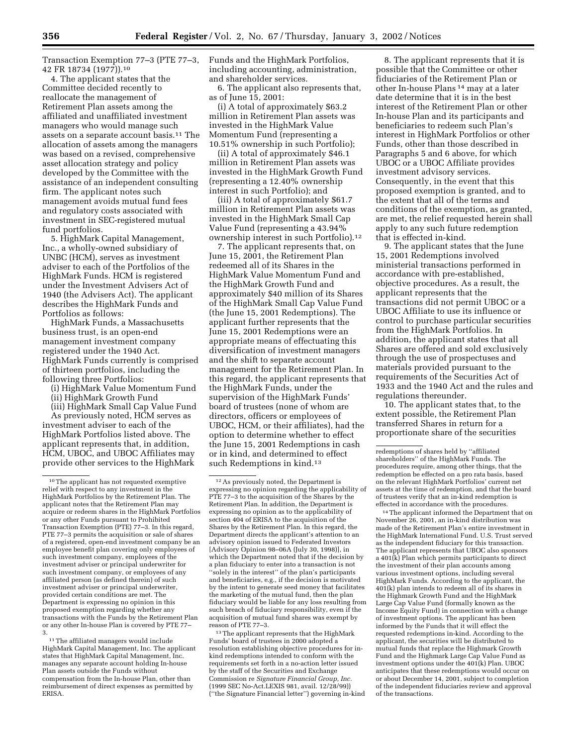Transaction Exemption 77–3 (PTE 77–3, 42 FR 18734 (1977)).10

4. The applicant states that the Committee decided recently to reallocate the management of Retirement Plan assets among the affiliated and unaffiliated investment managers who would manage such assets on a separate account basis.11 The allocation of assets among the managers was based on a revised, comprehensive asset allocation strategy and policy developed by the Committee with the assistance of an independent consulting firm. The applicant notes such management avoids mutual fund fees and regulatory costs associated with investment in SEC-registered mutual fund portfolios.

5. HighMark Capital Management, Inc., a wholly-owned subsidiary of UNBC (HCM), serves as investment adviser to each of the Portfolios of the HighMark Funds. HCM is registered under the Investment Advisers Act of 1940 (the Advisers Act). The applicant describes the HighMark Funds and Portfolios as follows:

HighMark Funds, a Massachusetts business trust, is an open-end management investment company registered under the 1940 Act. HighMark Funds currently is comprised of thirteen portfolios, including the following three Portfolios:

(i) HighMark Value Momentum Fund

(ii) HighMark Growth Fund

(iii) HighMark Small Cap Value Fund As previously noted, HCM serves as investment adviser to each of the HighMark Portfolios listed above. The applicant represents that, in addition, HCM, UBOC, and UBOC Affiliates may provide other services to the HighMark

Funds and the HighMark Portfolios, including accounting, administration, and shareholder services.

6. The applicant also represents that, as of June 15, 2001:

(i) A total of approximately \$63.2 million in Retirement Plan assets was invested in the HighMark Value Momentum Fund (representing a 10.51% ownership in such Portfolio);

(ii) A total of approximately \$46.1 million in Retirement Plan assets was invested in the HighMark Growth Fund (representing a 12.40% ownership interest in such Portfolio); and

(iii) A total of approximately \$61.7 million in Retirement Plan assets was invested in the HighMark Small Cap Value Fund (representing a 43.94% ownership interest in such Portfolio).12

7. The applicant represents that, on June 15, 2001, the Retirement Plan redeemed all of its Shares in the HighMark Value Momentum Fund and the HighMark Growth Fund and approximately \$40 million of its Shares of the HighMark Small Cap Value Fund (the June 15, 2001 Redemptions). The applicant further represents that the June 15, 2001 Redemptions were an appropriate means of effectuating this diversification of investment managers and the shift to separate account management for the Retirement Plan. In this regard, the applicant represents that the HighMark Funds, under the supervision of the HighMark Funds' board of trustees (none of whom are directors, officers or employees of UBOC, HCM, or their affiliates), had the option to determine whether to effect the June 15, 2001 Redemptions in cash or in kind, and determined to effect such Redemptions in kind.13

<sup>13</sup>The applicant represents that the HighMark Funds' board of trustees in 2000 adopted a resolution establishing objective procedures for inkind redemptions intended to conform with the requirements set forth in a no-action letter issued by the staff of the Securities and Exchange Commission re *Signature Financial Group, Inc.* (1999 SEC No-Act.LEXIS 981, avail. 12/28/99)) (''the Signature Financial letter'') governing in-kind

8. The applicant represents that it is possible that the Committee or other fiduciaries of the Retirement Plan or other In-house Plans 14 may at a later date determine that it is in the best interest of the Retirement Plan or other In-house Plan and its participants and beneficiaries to redeem such Plan's interest in HighMark Portfolios or other Funds, other than those described in Paragraphs 5 and 6 above, for which UBOC or a UBOC Affiliate provides investment advisory services. Consequently, in the event that this proposed exemption is granted, and to the extent that all of the terms and conditions of the exemption, as granted, are met, the relief requested herein shall apply to any such future redemption that is effected in-kind.

9. The applicant states that the June 15, 2001 Redemptions involved ministerial transactions performed in accordance with pre-established, objective procedures. As a result, the applicant represents that the transactions did not permit UBOC or a UBOC Affiliate to use its influence or control to purchase particular securities from the HighMark Portfolios. In addition, the applicant states that all Shares are offered and sold exclusively through the use of prospectuses and materials provided pursuant to the requirements of the Securities Act of 1933 and the 1940 Act and the rules and regulations thereunder.

10. The applicant states that, to the extent possible, the Retirement Plan transferred Shares in return for a proportionate share of the securities

14The applicant informed the Department that on November 26, 2001, an in-kind distribution was made of the Retirement Plan's entire investment in the HighMark International Fund. U.S. Trust served as the independent fiduciary for this transaction. The applicant represents that UBOC also sponsors a 401(k) Plan which permits participants to direct the investment of their plan accounts among various investment options, including several HighMark Funds. According to the applicant, the 401(k) plan intends to redeem all of its shares in the Highmark Growth Fund and the HighMark Large Cap Value Fund (formally known as the Income Equity Fund) in connection with a change of investment options. The applicant has been informed by the Funds that it will effect the requested redemptions in-kind. According to the applicant, the securities will be distributed to mutual funds that replace the Highmark Growth Fund and the Highmark Large Cap Value Fund as investment options under the 401(k) Plan. UBOC anticipates that these redemptions would occur on or about December 14, 2001, subject to completion of the independent fiduciaries review and approval of the transactions.

<sup>10</sup>The applicant has not requested exemptive relief with respect to any investment in the HighMark Portfolios by the Retirement Plan. The applicant notes that the Retirement Plan may acquire or redeem shares in the HighMark Portfolios or any other Funds pursuant to Prohibited Transaction Exemption (PTE) 77–3. In this regard, PTE 77–3 permits the acquisition or sale of shares of a registered, open-end investment company be an employee benefit plan covering only employees of such investment company, employees of the investment adviser or principal underwriter for such investment company, or employees of any affiliated person (as defined therein) of such investment adviser or principal underwriter, provided certain conditions are met. The Department is expressing no opinion in this proposed exemption regarding whether any transactions with the Funds by the Retirement Plan or any other In-house Plan is covered by PTE 77– 3.

<sup>11</sup>The affiliated managers would include HighMark Capital Management, Inc. The applicant states that HighMark Capital Management, Inc. manages any separate account holding In-house Plan assets outside the Funds without compensation from the In-house Plan, other than reimbursement of direct expenses as permitted by ERISA.

<sup>12</sup>As previously noted, the Department is expressing no opinion regarding the applicability of PTE 77–3 to the acquisition of the Shares by the Retirement Plan. In addition, the Department is expressing no opinion as to the applicability of section 404 of ERISA to the acquisition of the Shares by the Retirement Plan. In this regard, the Department directs the applicant's attention to an advisory opinion issued to Federated Investors [Advisory Opinion 98–06A (July 30, 1998)], in which the Department noted that if the decision by a plan fiduciary to enter into a transaction is not ''solely in the interest'' of the plan's participants and beneficiaries, e.g., if the decision is motivated by the intent to generate seed money that facilitates the marketing of the mutual fund, then the plan fiduciary would be liable for any loss resulting from such breach of fiduciary responsibility, even if the acquisition of mutual fund shares was exempt by reason of PTE 77–3.

redemptions of shares held by ''affiliated shareholders'' of the HighMark Funds. The procedures require, among other things, that the redemption be effected on a pro rata basis, based on the relevant HighMark Portfolios' current net assets at the time of redemption, and that the board of trustees verify that an in-kind redemption is effected in accordance with the procedures.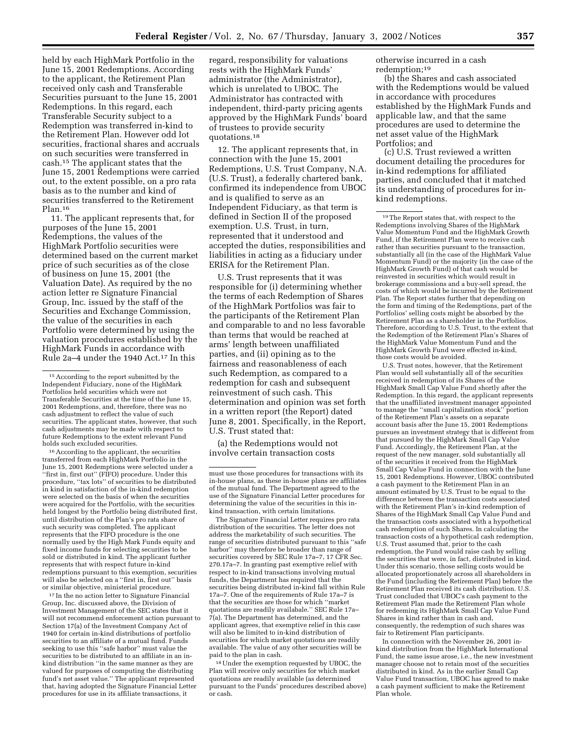held by each HighMark Portfolio in the June 15, 2001 Redemptions. According to the applicant, the Retirement Plan received only cash and Transferable Securities pursuant to the June 15, 2001 Redemptions. In this regard, each Transferable Security subject to a Redemption was transferred in-kind to the Retirement Plan. However odd lot securities, fractional shares and accruals on such securities were transferred in cash.15 The applicant states that the June 15, 2001 Redemptions were carried out, to the extent possible, on a pro rata basis as to the number and kind of securities transferred to the Retirement Plan.16

11. The applicant represents that, for purposes of the June 15, 2001 Redemptions, the values of the HighMark Portfolio securities were determined based on the current market price of such securities as of the close of business on June 15, 2001 (the Valuation Date). As required by the no action letter re Signature Financial Group, Inc. issued by the staff of the Securities and Exchange Commission, the value of the securities in each Portfolio were determined by using the valuation procedures established by the HighMark Funds in accordance with Rule 2a-4 under the 1940 Act.<sup>17</sup> In this

16According to the applicant, the securities transferred from each HighMark Portfolio in the June 15, 2001 Redemptions were selected under a ''first in, first out'' (FIFO) procedure. Under this procedure, ''tax lots'' of securities to be distributed in kind in satisfaction of the in-kind redemption were selected on the basis of when the securities were acquired for the Portfolio, with the securities held longest by the Portfolio being distributed first, until distribution of the Plan's pro rata share of such security was completed. The applicant represents that the FIFO procedure is the one normally used by the High Mark Funds equity and fixed income funds for selecting securities to be sold or distributed in kind. The applicant further represents that with respect future in-kind redemptions pursuant to this exemption, securities will also be selected on a ''first in, first out'' basis or similar objective, ministerial procedure.

17 In the no action letter to Signature Financial Group, Inc. discussed above, the Division of Investment Management of the SEC states that it will not recommend enforcement action pursuant to Section 17(a) of the Investment Company Act of 1940 for certain in-kind distributions of portfolio securities to an affiliate of a mutual fund. Funds seeking to use this ''safe harbor'' must value the securities to be distributed to an affiliate in an inkind distribution ''in the same manner as they are valued for purposes of computing the distributing fund's net asset value.'' The applicant represented that, having adopted the Signature Financial Letter procedures for use in its affiliate transactions, it

regard, responsibility for valuations rests with the HighMark Funds' administrator (the Administrator), which is unrelated to UBOC. The Administrator has contracted with independent, third-party pricing agents approved by the HighMark Funds' board of trustees to provide security quotations.18

12. The applicant represents that, in connection with the June 15, 2001 Redemptions, U.S. Trust Company, N.A. (U.S. Trust), a federally chartered bank, confirmed its independence from UBOC and is qualified to serve as an Independent Fiduciary, as that term is defined in Section II of the proposed exemption. U.S. Trust, in turn, represented that it understood and accepted the duties, responsibilities and liabilities in acting as a fiduciary under ERISA for the Retirement Plan.

U.S. Trust represents that it was responsible for (i) determining whether the terms of each Redemption of Shares of the HighMark Portfolios was fair to the participants of the Retirement Plan and comparable to and no less favorable than terms that would be reached at arms' length between unaffiliated parties, and (ii) opining as to the fairness and reasonableness of each such Redemption, as compared to a redemption for cash and subsequent reinvestment of such cash. This determination and opinion was set forth in a written report (the Report) dated June 8, 2001. Specifically, in the Report, U.S. Trust stated that:

(a) the Redemptions would not involve certain transaction costs

The Signature Financial Letter requires pro rata distribution of the securities. The letter does not address the marketability of such securities. The range of securities distributed pursuant to this ''safe harbor'' may therefore be broader than range of securities covered by SEC Rule 17a–7, 17 CFR Sec. 270.17a–7. In granting past exemptive relief with respect to in-kind transactions involving mutual funds, the Department has required that the securities being distributed in-kind fall within Rule 17a–7. One of the requirements of Rule 17a–7 is that the securities are those for which ''market quotations are readily availabale.'' SEC Rule 17a– 7(a). The Department has determined, and the applicant agrees, that exemptive relief in this case will also be limited to in-kind distribution of securities for which market quotations are readily available. The value of any other securities will be paid to the plan in cash.

18Under the exemption requested by UBOC, the Plan will receive only securities for which market quotations are readily available (as determined pursuant to the Funds' procedures described above) or cash.

otherwise incurred in a cash redemption;19

(b) the Shares and cash associated with the Redemptions would be valued in accordance with procedures established by the HighMark Funds and applicable law, and that the same procedures are used to determine the net asset value of the HighMark Portfolios; and

(c) U.S. Trust reviewed a written document detailing the procedures for in-kind redemptions for affiliated parties, and concluded that it matched its understanding of procedures for inkind redemptions.

U.S. Trust notes, however, that the Retirement Plan would sell substantially all of the securities received in redemption of its Shares of the HighMark Small Cap Value Fund shortly after the Redemption. In this regard, the applicant represents that the unaffiliated investment manager appointed to manage the ''small capitalization stock'' portion of the Retirement Plan's assets on a separate account basis after the June 15, 2001 Redemptions pursues an investment strategy that is different from that pursued by the HighMark Small Cap Value Fund. Accordingly, the Retirement Plan, at the request of the new manager, sold substantially all of the securities it received from the HighMark Small Cap Value Fund in connection with the June 15, 2001 Redemptions. However, UBOC contributed a cash payment to the Retirement Plan in an amount estimated by U.S. Trust to be equal to the difference between the transaction costs associated with the Retirement Plan's in-kind redemption of Shares of the HighMark Small Cap Value Fund and the transaction costs associated with a hypothetical cash redemption of such Shares. In calculating the transaction costs of a hypothetical cash redemption, U.S. Trust assumed that, prior to the cash redemption, the Fund would raise cash by selling the securities that were, in fact, distributed in kind. Under this scenario, those selling costs would be allocated proportionately across all shareholders in the Fund (including the Retirement Plan) before the Retirement Plan received its cash distribution. U.S. Trust concluded that UBOC's cash payment to the Retirement Plan made the Retirement Plan whole for redeeming its HighMark Small Cap Value Fund Shares in kind rather than in cash and, consequently, the redemption of such shares was fair to Retirement Plan participants.

In connection with the November 26, 2001 inkind distribution from the HighMark International Fund, the same issue arose, i.e., the new investment manager choose not to retain most of the securities distributed in kind. As in the earlier Small Cap Value Fund transaction, UBOC has agreed to make a cash payment sufficient to make the Retirement Plan whole.

<sup>15</sup>According to the report submitted by the Independent Fiduciary, none of the HighMark Portfolios held securities which were not Transferable Securities at the time of the June 15, 2001 Redemptions, and, therefore, there was no cash adjustment to reflect the value of such securities. The applicant states, however, that such cash adjustments may be made with respect to future Redemptions to the extent relevant Fund holds such excluded securities.

must use those procedures for transactions with its in-house plans, as these in-house plans are affiliates of the mutual fund. The Department agreed to the use of the Signature Financial Letter procedures for determining the value of the securities in this inkind transaction, with certain limitations.

<sup>19</sup>The Report states that, with respect to the Redemptions involving Shares of the HighMark Value Momentum Fund and the HighMark Growth Fund, if the Retirement Plan were to receive cash rather than securities pursuant to the transaction, substantially all (in the case of the HighMark Value Momentum Fund) or the majority (in the case of the HighMark Growth Fund) of that cash would be reinvested in securities which would result in brokerage commissions and a buy-sell spread, the costs of which would be incurred by the Retirement Plan. The Report states further that depending on the form and timing of the Redemptions, part of the Portfolios' selling costs might be absorbed by the Retirement Plan as a shareholder in the Portfolios. Therefore, according to U.S. Trust, to the extent that the Redemption of the Retirement Plan's Shares of the HighMark Value Momentum Fund and the HighMark Growth Fund were effected in-kind, those costs would be avoided.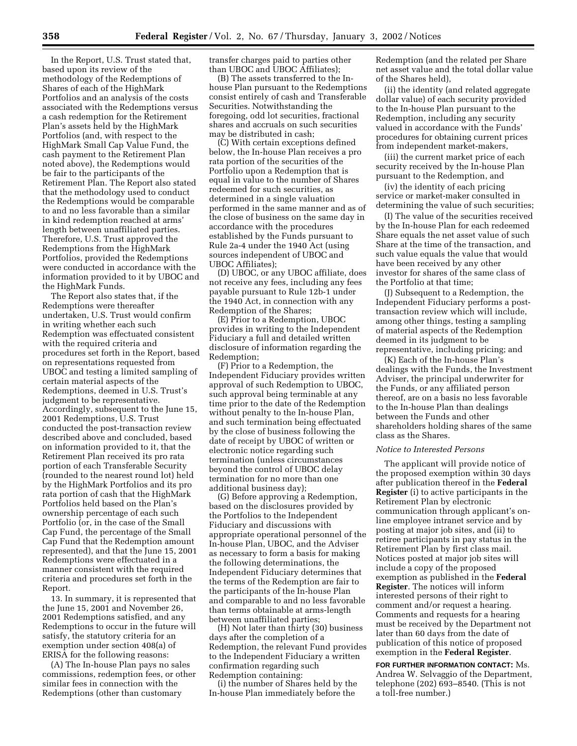In the Report, U.S. Trust stated that, based upon its review of the methodology of the Redemptions of Shares of each of the HighMark Portfolios and an analysis of the costs associated with the Redemptions versus a cash redemption for the Retirement Plan's assets held by the HighMark Portfolios (and, with respect to the HighMark Small Cap Value Fund, the cash payment to the Retirement Plan noted above), the Redemptions would be fair to the participants of the Retirement Plan. The Report also stated that the methodology used to conduct the Redemptions would be comparable to and no less favorable than a similar in kind redemption reached at arms' length between unaffiliated parties. Therefore, U.S. Trust approved the Redemptions from the HighMark Portfolios, provided the Redemptions were conducted in accordance with the information provided to it by UBOC and the HighMark Funds.

The Report also states that, if the Redemptions were thereafter undertaken, U.S. Trust would confirm in writing whether each such Redemption was effectuated consistent with the required criteria and procedures set forth in the Report, based on representations requested from UBOC and testing a limited sampling of certain material aspects of the Redemptions, deemed in U.S. Trust's judgment to be representative. Accordingly, subsequent to the June 15, 2001 Redemptions, U.S. Trust conducted the post-transaction review described above and concluded, based on information provided to it, that the Retirement Plan received its pro rata portion of each Transferable Security (rounded to the nearest round lot) held by the HighMark Portfolios and its pro rata portion of cash that the HighMark Portfolios held based on the Plan's ownership percentage of each such Portfolio (or, in the case of the Small Cap Fund, the percentage of the Small Cap Fund that the Redemption amount represented), and that the June 15, 2001 Redemptions were effectuated in a manner consistent with the required criteria and procedures set forth in the Report.

13. In summary, it is represented that the June 15, 2001 and November 26, 2001 Redemptions satisfied, and any Redemptions to occur in the future will satisfy, the statutory criteria for an exemption under section 408(a) of ERISA for the following reasons:

(A) The In-house Plan pays no sales commissions, redemption fees, or other similar fees in connection with the Redemptions (other than customary

transfer charges paid to parties other than UBOC and UBOC Affiliates);

(B) The assets transferred to the Inhouse Plan pursuant to the Redemptions consist entirely of cash and Transferable Securities. Notwithstanding the foregoing, odd lot securities, fractional shares and accruals on such securities may be distributed in cash;

(C) With certain exceptions defined below, the In-house Plan receives a pro rata portion of the securities of the Portfolio upon a Redemption that is equal in value to the number of Shares redeemed for such securities, as determined in a single valuation performed in the same manner and as of the close of business on the same day in accordance with the procedures established by the Funds pursuant to Rule 2a-4 under the 1940 Act (using sources independent of UBOC and UBOC Affiliates);

(D) UBOC, or any UBOC affiliate, does not receive any fees, including any fees payable pursuant to Rule 12b-1 under the 1940 Act, in connection with any Redemption of the Shares;

(E) Prior to a Redemption, UBOC provides in writing to the Independent Fiduciary a full and detailed written disclosure of information regarding the Redemption;

(F) Prior to a Redemption, the Independent Fiduciary provides written approval of such Redemption to UBOC, such approval being terminable at any time prior to the date of the Redemption without penalty to the In-house Plan, and such termination being effectuated by the close of business following the date of receipt by UBOC of written or electronic notice regarding such termination (unless circumstances beyond the control of UBOC delay termination for no more than one additional business day);

(G) Before approving a Redemption, based on the disclosures provided by the Portfolios to the Independent Fiduciary and discussions with appropriate operational personnel of the In-house Plan, UBOC, and the Adviser as necessary to form a basis for making the following determinations, the Independent Fiduciary determines that the terms of the Redemption are fair to the participants of the In-house Plan and comparable to and no less favorable than terms obtainable at arms-length between unaffiliated parties;

(H) Not later than thirty (30) business days after the completion of a Redemption, the relevant Fund provides to the Independent Fiduciary a written confirmation regarding such Redemption containing:

(i) the number of Shares held by the In-house Plan immediately before the

Redemption (and the related per Share net asset value and the total dollar value of the Shares held),

(ii) the identity (and related aggregate dollar value) of each security provided to the In-house Plan pursuant to the Redemption, including any security valued in accordance with the Funds' procedures for obtaining current prices from independent market-makers,

(iii) the current market price of each security received by the In-house Plan pursuant to the Redemption, and

(iv) the identity of each pricing service or market-maker consulted in determining the value of such securities;

(I) The value of the securities received by the In-house Plan for each redeemed Share equals the net asset value of such Share at the time of the transaction, and such value equals the value that would have been received by any other investor for shares of the same class of the Portfolio at that time;

(J) Subsequent to a Redemption, the Independent Fiduciary performs a posttransaction review which will include, among other things, testing a sampling of material aspects of the Redemption deemed in its judgment to be representative, including pricing; and

(K) Each of the In-house Plan's dealings with the Funds, the Investment Adviser, the principal underwriter for the Funds, or any affiliated person thereof, are on a basis no less favorable to the In-house Plan than dealings between the Funds and other shareholders holding shares of the same class as the Shares.

#### *Notice to Interested Persons*

The applicant will provide notice of the proposed exemption within 30 days after publication thereof in the **Federal Register** (i) to active participants in the Retirement Plan by electronic communication through applicant's online employee intranet service and by posting at major job sites, and (ii) to retiree participants in pay status in the Retirement Plan by first class mail. Notices posted at major job sites will include a copy of the proposed exemption as published in the **Federal Register**. The notices will inform interested persons of their right to comment and/or request a hearing. Comments and requests for a hearing must be received by the Department not later than 60 days from the date of publication of this notice of proposed exemption in the **Federal Register**.

**FOR FURTHER INFORMATION CONTACT:** Ms. Andrea W. Selvaggio of the Department, telephone (202) 693–8540. (This is not a toll-free number.)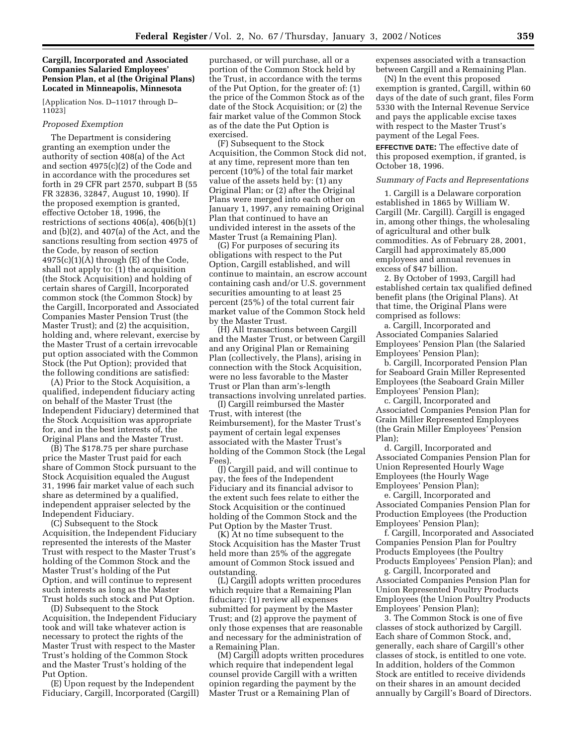## **Cargill, Incorporated and Associated Companies Salaried Employees' Pension Plan, et al (the Original Plans) Located in Minneapolis, Minnesota**

[Application Nos. D–11017 through D– 11023]

### *Proposed Exemption*

The Department is considering granting an exemption under the authority of section 408(a) of the Act and section 4975(c)(2) of the Code and in accordance with the procedures set forth in 29 CFR part 2570, subpart B (55 FR 32836, 32847, August 10, 1990). If the proposed exemption is granted, effective October 18, 1996, the restrictions of sections 406(a), 406(b)(1) and (b)(2), and 407(a) of the Act, and the sanctions resulting from section 4975 of the Code, by reason of section  $4975(c)(1)(A)$  through  $(E)$  of the Code, shall not apply to: (1) the acquisition (the Stock Acquisition) and holding of certain shares of Cargill, Incorporated common stock (the Common Stock) by the Cargill, Incorporated and Associated Companies Master Pension Trust (the Master Trust); and (2) the acquisition, holding and, where relevant, exercise by the Master Trust of a certain irrevocable put option associated with the Common Stock (the Put Option); provided that the following conditions are satisfied:

(A) Prior to the Stock Acquisition, a qualified, independent fiduciary acting on behalf of the Master Trust (the Independent Fiduciary) determined that the Stock Acquisition was appropriate for, and in the best interests of, the Original Plans and the Master Trust.

(B) The \$178.75 per share purchase price the Master Trust paid for each share of Common Stock pursuant to the Stock Acquisition equaled the August 31, 1996 fair market value of each such share as determined by a qualified, independent appraiser selected by the Independent Fiduciary.

(C) Subsequent to the Stock Acquisition, the Independent Fiduciary represented the interests of the Master Trust with respect to the Master Trust's holding of the Common Stock and the Master Trust's holding of the Put Option, and will continue to represent such interests as long as the Master Trust holds such stock and Put Option.

(D) Subsequent to the Stock Acquisition, the Independent Fiduciary took and will take whatever action is necessary to protect the rights of the Master Trust with respect to the Master Trust's holding of the Common Stock and the Master Trust's holding of the Put Option.

(E) Upon request by the Independent Fiduciary, Cargill, Incorporated (Cargill) purchased, or will purchase, all or a portion of the Common Stock held by the Trust, in accordance with the terms of the Put Option, for the greater of: (1) the price of the Common Stock as of the date of the Stock Acquisition; or (2) the fair market value of the Common Stock as of the date the Put Option is exercised.

(F) Subsequent to the Stock Acquisition, the Common Stock did not, at any time, represent more than ten percent (10%) of the total fair market value of the assets held by: (1) any Original Plan; or (2) after the Original Plans were merged into each other on January 1, 1997, any remaining Original Plan that continued to have an undivided interest in the assets of the Master Trust (a Remaining Plan).

(G) For purposes of securing its obligations with respect to the Put Option, Cargill established, and will continue to maintain, an escrow account containing cash and/or U.S. government securities amounting to at least 25 percent (25%) of the total current fair market value of the Common Stock held by the Master Trust.

(H) All transactions between Cargill and the Master Trust, or between Cargill and any Original Plan or Remaining Plan (collectively, the Plans), arising in connection with the Stock Acquisition, were no less favorable to the Master Trust or Plan than arm's-length transactions involving unrelated parties.

(I) Cargill reimbursed the Master Trust, with interest (the Reimbursement), for the Master Trust's payment of certain legal expenses associated with the Master Trust's holding of the Common Stock (the Legal Fees).

(J) Cargill paid, and will continue to pay, the fees of the Independent Fiduciary and its financial advisor to the extent such fees relate to either the Stock Acquisition or the continued holding of the Common Stock and the Put Option by the Master Trust.

(K) At no time subsequent to the Stock Acquisition has the Master Trust held more than 25% of the aggregate amount of Common Stock issued and outstanding.

(L) Cargill adopts written procedures which require that a Remaining Plan fiduciary: (1) review all expenses submitted for payment by the Master Trust; and (2) approve the payment of only those expenses that are reasonable and necessary for the administration of a Remaining Plan.

(M) Cargill adopts written procedures which require that independent legal counsel provide Cargill with a written opinion regarding the payment by the Master Trust or a Remaining Plan of

expenses associated with a transaction between Cargill and a Remaining Plan.

(N) In the event this proposed exemption is granted, Cargill, within 60 days of the date of such grant, files Form 5330 with the Internal Revenue Service and pays the applicable excise taxes with respect to the Master Trust's payment of the Legal Fees.

**EFFECTIVE DATE:** The effective date of this proposed exemption, if granted, is October 18, 1996.

#### *Summary of Facts and Representations*

1. Cargill is a Delaware corporation established in 1865 by William W. Cargill (Mr. Cargill). Cargill is engaged in, among other things, the wholesaling of agricultural and other bulk commodities. As of February 28, 2001, Cargill had approximately 85,000 employees and annual revenues in excess of \$47 billion.

2. By October of 1993, Cargill had established certain tax qualified defined benefit plans (the Original Plans). At that time, the Original Plans were comprised as follows:

a. Cargill, Incorporated and Associated Companies Salaried Employees' Pension Plan (the Salaried Employees' Pension Plan);

b. Cargill, Incorporated Pension Plan for Seaboard Grain Miller Represented Employees (the Seaboard Grain Miller Employees' Pension Plan);

c. Cargill, Incorporated and Associated Companies Pension Plan for Grain Miller Represented Employees (the Grain Miller Employees' Pension Plan);

d. Cargill, Incorporated and Associated Companies Pension Plan for Union Represented Hourly Wage Employees (the Hourly Wage Employees' Pension Plan);

e. Cargill, Incorporated and Associated Companies Pension Plan for Production Employees (the Production Employees' Pension Plan);

f. Cargill, Incorporated and Associated Companies Pension Plan for Poultry Products Employees (the Poultry Products Employees' Pension Plan); and

g. Cargill, Incorporated and Associated Companies Pension Plan for Union Represented Poultry Products Employees (the Union Poultry Products Employees' Pension Plan);

3. The Common Stock is one of five classes of stock authorized by Cargill. Each share of Common Stock, and, generally, each share of Cargill's other classes of stock, is entitled to one vote. In addition, holders of the Common Stock are entitled to receive dividends on their shares in an amount decided annually by Cargill's Board of Directors.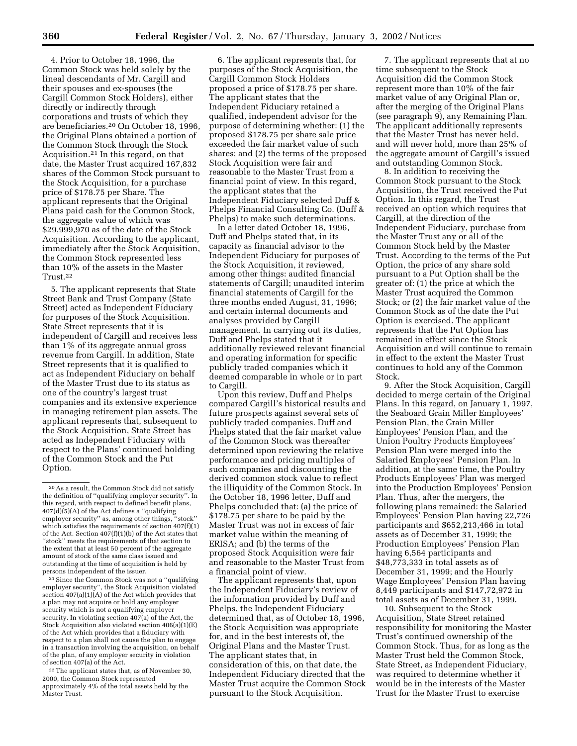4. Prior to October 18, 1996, the Common Stock was held solely by the lineal descendants of Mr. Cargill and their spouses and ex-spouses (the Cargill Common Stock Holders), either directly or indirectly through corporations and trusts of which they are beneficiaries.20 On October 18, 1996, the Original Plans obtained a portion of the Common Stock through the Stock Acquisition.21 In this regard, on that date, the Master Trust acquired 167,832 shares of the Common Stock pursuant to the Stock Acquisition, for a purchase price of \$178.75 per Share. The applicant represents that the Original Plans paid cash for the Common Stock, the aggregate value of which was \$29,999,970 as of the date of the Stock Acquisition. According to the applicant, immediately after the Stock Acquisition, the Common Stock represented less than 10% of the assets in the Master Trust.22

5. The applicant represents that State Street Bank and Trust Company (State Street) acted as Independent Fiduciary for purposes of the Stock Acquisition. State Street represents that it is independent of Cargill and receives less than 1% of its aggregate annual gross revenue from Cargill. In addition, State Street represents that it is qualified to act as Independent Fiduciary on behalf of the Master Trust due to its status as one of the country's largest trust companies and its extensive experience in managing retirement plan assets. The applicant represents that, subsequent to the Stock Acquisition, State Street has acted as Independent Fiduciary with respect to the Plans' continued holding of the Common Stock and the Put Option.

21Since the Common Stock was not a ''qualifying employer security'', the Stock Acquisition violated section  $407(a)(1)(A)$  of the Act which provides that a plan may not acquire or hold any employer security which is not a qualifying employer security. In violating section 407(a) of the Act, the Stock Acquisition also violated section 406(a)(1)(E) of the Act which provides that a fiduciary with respect to a plan shall not cause the plan to engage in a transaction involving the acquisition, on behalf of the plan, of any employer security in violation of section 407(a) of the Act.

22The applicant states that, as of November 30, 2000, the Common Stock represented approximately 4% of the total assets held by the Master Trust.

6. The applicant represents that, for purposes of the Stock Acquisition, the Cargill Common Stock Holders proposed a price of \$178.75 per share. The applicant states that the Independent Fiduciary retained a qualified, independent advisor for the purpose of determining whether: (1) the proposed \$178.75 per share sale price exceeded the fair market value of such shares; and (2) the terms of the proposed Stock Acquisition were fair and reasonable to the Master Trust from a financial point of view. In this regard, the applicant states that the Independent Fiduciary selected Duff & Phelps Financial Consulting Co. (Duff & Phelps) to make such determinations.

In a letter dated October 18, 1996, Duff and Phelps stated that, in its capacity as financial advisor to the Independent Fiduciary for purposes of the Stock Acquisition, it reviewed, among other things: audited financial statements of Cargill; unaudited interim financial statements of Cargill for the three months ended August, 31, 1996; and certain internal documents and analyses provided by Cargill management. In carrying out its duties, Duff and Phelps stated that it additionally reviewed relevant financial and operating information for specific publicly traded companies which it deemed comparable in whole or in part to Cargill.

Upon this review, Duff and Phelps compared Cargill's historical results and future prospects against several sets of publicly traded companies. Duff and Phelps stated that the fair market value of the Common Stock was thereafter determined upon reviewing the relative performance and pricing multiples of such companies and discounting the derived common stock value to reflect the illiquidity of the Common Stock. In the October 18, 1996 letter, Duff and Phelps concluded that: (a) the price of \$178.75 per share to be paid by the Master Trust was not in excess of fair market value within the meaning of ERISA; and (b) the terms of the proposed Stock Acquisition were fair and reasonable to the Master Trust from a financial point of view.

The applicant represents that, upon the Independent Fiduciary's review of the information provided by Duff and Phelps, the Independent Fiduciary determined that, as of October 18, 1996, the Stock Acquisition was appropriate for, and in the best interests of, the Original Plans and the Master Trust. The applicant states that, in consideration of this, on that date, the Independent Fiduciary directed that the Master Trust acquire the Common Stock pursuant to the Stock Acquisition.

7. The applicant represents that at no time subsequent to the Stock Acquisition did the Common Stock represent more than 10% of the fair market value of any Original Plan or, after the merging of the Original Plans (see paragraph 9), any Remaining Plan. The applicant additionally represents that the Master Trust has never held, and will never hold, more than 25% of the aggregate amount of Cargill's issued and outstanding Common Stock.

8. In addition to receiving the Common Stock pursuant to the Stock Acquisition, the Trust received the Put Option. In this regard, the Trust received an option which requires that Cargill, at the direction of the Independent Fiduciary, purchase from the Master Trust any or all of the Common Stock held by the Master Trust. According to the terms of the Put Option, the price of any share sold pursuant to a Put Option shall be the greater of: (1) the price at which the Master Trust acquired the Common Stock; or (2) the fair market value of the Common Stock as of the date the Put Option is exercised. The applicant represents that the Put Option has remained in effect since the Stock Acquisition and will continue to remain in effect to the extent the Master Trust continues to hold any of the Common Stock.

9. After the Stock Acquisition, Cargill decided to merge certain of the Original Plans. In this regard, on January 1, 1997, the Seaboard Grain Miller Employees' Pension Plan, the Grain Miller Employees' Pension Plan, and the Union Poultry Products Employees' Pension Plan were merged into the Salaried Employees' Pension Plan. In addition, at the same time, the Poultry Products Employees' Plan was merged into the Production Employees' Pension Plan. Thus, after the mergers, the following plans remained: the Salaried Employees' Pension Plan having 22,726 participants and \$652,213,466 in total assets as of December 31, 1999; the Production Employees' Pension Plan having 6,564 participants and \$48,773,333 in total assets as of December 31, 1999; and the Hourly Wage Employees' Pension Plan having 8,449 participants and \$147,72,972 in total assets as of December 31, 1999.

10. Subsequent to the Stock Acquisition, State Street retained responsibility for monitoring the Master Trust's continued ownership of the Common Stock. Thus, for as long as the Master Trust held the Common Stock, State Street, as Independent Fiduciary, was required to determine whether it would be in the interests of the Master Trust for the Master Trust to exercise

<sup>20</sup>As a result, the Common Stock did not satisfy the definition of ''qualifying employer security''. In this regard, with respect to defined benefit plans, 407(d)(5)(A) of the Act defines a ''qualifying employer security'' as, among other things, ''stock'' which satisfies the requirements of section 407(f)(1) of the Act. Section  $407(f)(1)(b)$  of the Act states that ''stock'' meets the requirements of that section to the extent that at least 50 percent of the aggregate amount of stock of the same class issued and outstanding at the time of acquisition is held by persons independent of the issuer.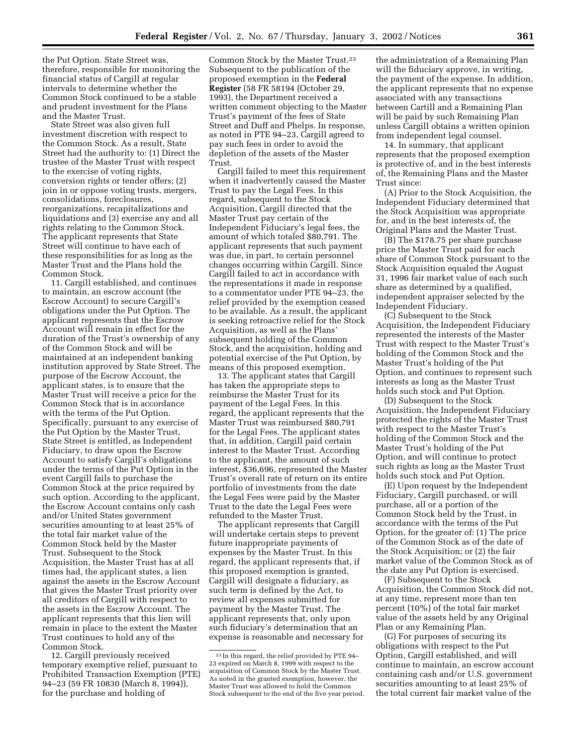the Put Option. State Street was, therefore, responsible for monitoring the financial status of Cargill at regular intervals to determine whether the Common Stock continued to be a stable and prudent investment for the Plans and the Master Trust.

State Street was also given full investment discretion with respect to the Common Stock. As a result, State Street had the authority to: (1) Direct the trustee of the Master Trust with respect to the exercise of voting rights, conversion rights or tender offers; (2) join in or oppose voting trusts, mergers, consolidations, foreclosures, reorganizations, recapitalizations and liquidations and (3) exercise any and all rights relating to the Common Stock. The applicant represents that State Street will continue to have each of these responsibilities for as long as the Master Trust and the Plans hold the Common Stock.

11. Cargill established, and continues to maintain, an escrow account (the Escrow Account) to secure Cargill's obligations under the Put Option. The applicant represents that the Escrow Account will remain in effect for the duration of the Trust's ownership of any of the Common Stock and will be maintained at an independent banking institution approved by State Street. The purpose of the Escrow Account, the applicant states, is to ensure that the Master Trust will receive a price for the Common Stock that is in accordance with the terms of the Put Option. Specifically, pursuant to any exercise of the Put Option by the Master Trust, State Street is entitled, as Independent Fiduciary, to draw upon the Escrow Account to satisfy Cargill's obligations under the terms of the Put Option in the event Cargill fails to purchase the Common Stock at the price required by such option. According to the applicant, the Escrow Account contains only cash and/or United States government securities amounting to at least 25% of the total fair market value of the Common Stock held by the Master Trust. Subsequent to the Stock Acquisition, the Master Trust has at all times had, the applicant states, a lien against the assets in the Escrow Account that gives the Master Trust priority over all creditors of Cargill with respect to the assets in the Escrow Account. The applicant represents that this lien will remain in place to the extent the Master Trust continues to hold any of the Common Stock.

12. Cargill previously received temporary exemptive relief, pursuant to Prohibited Transaction Exemption (PTE) 94–23 (59 FR 10830 (March 8, 1994)), for the purchase and holding of

Common Stock by the Master Trust.23 Subsequent to the publication of the proposed exemption in the **Federal Register** (58 FR 58194 (October 29, 1993), the Department received a written comment objecting to the Master Trust's payment of the fees of State Street and Duff and Phelps. In response, as noted in PTE 94–23, Cargill agreed to pay such fees in order to avoid the depletion of the assets of the Master Trust.

Cargill failed to meet this requirement when it inadvertently caused the Master Trust to pay the Legal Fees. In this regard, subsequent to the Stock Acquisition, Cargill directed that the Master Trust pay certain of the Independent Fiduciary's legal fees, the amount of which totaled \$80,791. The applicant represents that such payment was due, in part, to certain personnel changes occurring within Cargill. Since Cargill failed to act in accordance with the representations it made in response to a commentator under PTE 94–23, the relief provided by the exemption ceased to be available. As a result, the applicant is seeking retroactive relief for the Stock Acquisition, as well as the Plans' subsequent holding of the Common Stock, and the acquisition, holding and potential exercise of the Put Option, by means of this proposed exemption.

13. The applicant states that Cargill has taken the appropriate steps to reimburse the Master Trust for its payment of the Legal Fees. In this regard, the applicant represents that the Master Trust was reimbursed \$80,791 for the Legal Fees. The applicant states that, in addition, Cargill paid certain interest to the Master Trust. According to the applicant, the amount of such interest, \$36,696, represented the Master Trust's overall rate of return on its entire portfolio of investments from the date the Legal Fees were paid by the Master Trust to the date the Legal Fees were refunded to the Master Trust.

The applicant represents that Cargill will undertake certain steps to prevent future inappropriate payments of expenses by the Master Trust. In this regard, the applicant represents that, if this proposed exemption is granted, Cargill will designate a fiduciary, as such term is defined by the Act, to review all expenses submitted for payment by the Master Trust. The applicant represents that, only upon such fiduciary's determination that an expense is reasonable and necessary for

the administration of a Remaining Plan will the fiduciary approve, in writing, the payment of the expense. In addition, the applicant represents that no expense associated with any transactions between Cartill and a Remaining Plan will be paid by such Remaining Plan unless Cargill obtains a written opinion from independent legal counsel.

14. In summary, that applicant represents that the proposed exemption is protective of, and in the best interests of, the Remaining Plans and the Master Trust since:

(A) Prior to the Stock Acquisition, the Independent Fiduciary determined that the Stock Acquisition was appropriate for, and in the best interests of, the Original Plans and the Master Trust.

(B) The \$178.75 per share purchase price the Master Trust paid for each share of Common Stock pursuant to the Stock Acquisition equaled the August 31, 1996 fair market value of each such share as determined by a qualified, independent appraiser selected by the Independent Fiduciary.

(C) Subsequent to the Stock Acquisition, the Independent Fiduciary represented the interests of the Master Trust with respect to the Master Trust's holding of the Common Stock and the Master Trust's holding of the Put Option, and continues to represent such interests as long as the Master Trust holds such stock and Put Option.

(D) Subsequent to the Stock Acquisition, the Independent Fiduciary protected the rights of the Master Trust with respect to the Master Trust's holding of the Common Stock and the Master Trust's holding of the Put Option, and will continue to protect such rights as long as the Master Trust holds such stock and Put Option.

(E) Upon request by the Independent Fiduciary, Cargill purchased, or will purchase, all or a portion of the Common Stock held by the Trust, in accordance with the terms of the Put Option, for the greater of: (1) The price of the Common Stock as of the date of the Stock Acquisition; or (2) the fair market value of the Common Stock as of the date any Put Option is exercised.

(F) Subsequent to the Stock Acquisition, the Common Stock did not, at any time, represent more than ten percent (10%) of the total fair market value of the assets held by any Original Plan or any Remaining Plan.

(G) For purposes of securing its obligations with respect to the Put Option, Cargill established, and will continue to maintain, an escrow account containing cash and/or U.S. government securities amounting to at least 25% of the total current fair market value of the

<sup>23</sup> In this regard, the relief provided by PTE 94– 23 expired on March 8, 1999 with respect to the acquisition of Common Stock by the Master Trust. As noted in the granted exemption, however, the Master Trust was allowed to hold the Common Stock subsequent to the end of the five year period.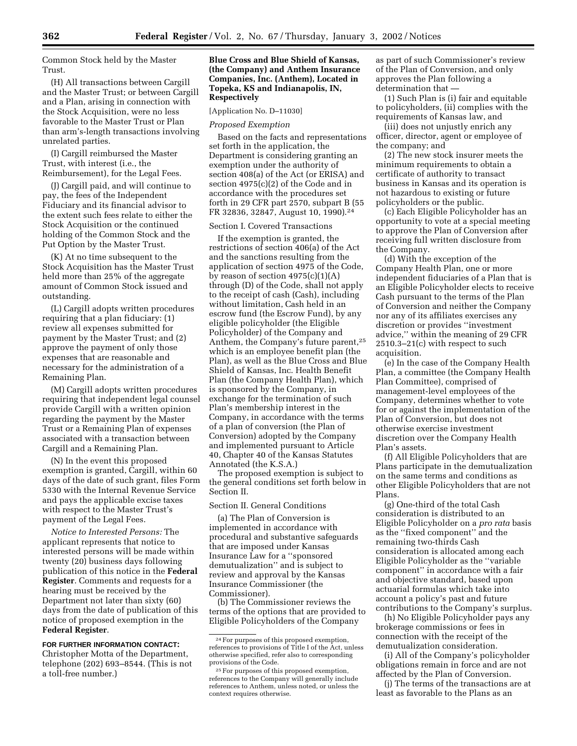Common Stock held by the Master Trust.

(H) All transactions between Cargill and the Master Trust; or between Cargill and a Plan, arising in connection with the Stock Acquisition, were no less favorable to the Master Trust or Plan than arm's-length transactions involving unrelated parties.

(I) Cargill reimbursed the Master Trust, with interest (i.e., the Reimbursement), for the Legal Fees.

(J) Cargill paid, and will continue to pay, the fees of the Independent Fiduciary and its financial advisor to the extent such fees relate to either the Stock Acquisition or the continued holding of the Common Stock and the Put Option by the Master Trust.

(K) At no time subsequent to the Stock Acquisition has the Master Trust held more than 25% of the aggregate amount of Common Stock issued and outstanding.

(L) Cargill adopts written procedures requiring that a plan fiduciary: (1) review all expenses submitted for payment by the Master Trust; and (2) approve the payment of only those expenses that are reasonable and necessary for the administration of a Remaining Plan.

(M) Cargill adopts written procedures requiring that independent legal counsel provide Cargill with a written opinion regarding the payment by the Master Trust or a Remaining Plan of expenses associated with a transaction between Cargill and a Remaining Plan.

(N) In the event this proposed exemption is granted, Cargill, within 60 days of the date of such grant, files Form 5330 with the Internal Revenue Service and pays the applicable excise taxes with respect to the Master Trust's payment of the Legal Fees.

*Notice to Interested Persons:* The applicant represents that notice to interested persons will be made within twenty (20) business days following publication of this notice in the **Federal Register**. Comments and requests for a hearing must be received by the Department not later than sixty (60) days from the date of publication of this notice of proposed exemption in the **Federal Register**.

#### **FOR FURTHER INFORMATION CONTACT:**

Christopher Motta of the Department, telephone (202) 693–8544. (This is not a toll-free number.)

### **Blue Cross and Blue Shield of Kansas, (the Company) and Anthem Insurance Companies, Inc. (Anthem), Located in Topeka, KS and Indianapolis, IN, Respectively**

[Application No. D–11030]

#### *Proposed Exemption*

Based on the facts and representations set forth in the application, the Department is considering granting an exemption under the authority of section 408(a) of the Act (or ERISA) and section 4975(c)(2) of the Code and in accordance with the procedures set forth in 29 CFR part 2570, subpart B (55 FR 32836, 32847, August 10, 1990).24

### Section I. Covered Transactions

If the exemption is granted, the restrictions of section 406(a) of the Act and the sanctions resulting from the application of section 4975 of the Code, by reason of section  $4975(c)(1)(A)$ through (D) of the Code, shall not apply to the receipt of cash (Cash), including without limitation, Cash held in an escrow fund (the Escrow Fund), by any eligible policyholder (the Eligible Policyholder) of the Company and Anthem, the Company's future parent,25 which is an employee benefit plan (the Plan), as well as the Blue Cross and Blue Shield of Kansas, Inc. Health Benefit Plan (the Company Health Plan), which is sponsored by the Company, in exchange for the termination of such Plan's membership interest in the Company, in accordance with the terms of a plan of conversion (the Plan of Conversion) adopted by the Company and implemented pursuant to Article 40, Chapter 40 of the Kansas Statutes Annotated (the K.S.A.)

The proposed exemption is subject to the general conditions set forth below in Section II.

### Section II. General Conditions

(a) The Plan of Conversion is implemented in accordance with procedural and substantive safeguards that are imposed under Kansas Insurance Law for a ''sponsored demutualization'' and is subject to review and approval by the Kansas Insurance Commissioner (the Commissioner).

(b) The Commissioner reviews the terms of the options that are provided to Eligible Policyholders of the Company

as part of such Commissioner's review of the Plan of Conversion, and only approves the Plan following a determination that —

(1) Such Plan is (i) fair and equitable to policyholders, (ii) complies with the requirements of Kansas law, and

(iii) does not unjustly enrich any officer, director, agent or employee of the company; and

(2) The new stock insurer meets the minimum requirements to obtain a certificate of authority to transact business in Kansas and its operation is not hazardous to existing or future policyholders or the public.

(c) Each Eligible Policyholder has an opportunity to vote at a special meeting to approve the Plan of Conversion after receiving full written disclosure from the Company.

(d) With the exception of the Company Health Plan, one or more independent fiduciaries of a Plan that is an Eligible Policyholder elects to receive Cash pursuant to the terms of the Plan of Conversion and neither the Company nor any of its affiliates exercises any discretion or provides ''investment advice,'' within the meaning of 29 CFR 2510.3–21(c) with respect to such acquisition.

(e) In the case of the Company Health Plan, a committee (the Company Health Plan Committee), comprised of management-level employees of the Company, determines whether to vote for or against the implementation of the Plan of Conversion, but does not otherwise exercise investment discretion over the Company Health Plan's assets.

(f) All Eligible Policyholders that are Plans participate in the demutualization on the same terms and conditions as other Eligible Policyholders that are not Plans.

(g) One-third of the total Cash consideration is distributed to an Eligible Policyholder on a *pro rata* basis as the ''fixed component'' and the remaining two-thirds Cash consideration is allocated among each Eligible Policyholder as the ''variable component'' in accordance with a fair and objective standard, based upon actuarial formulas which take into account a policy's past and future contributions to the Company's surplus.

(h) No Eligible Policyholder pays any brokerage commissions or fees in connection with the receipt of the demutualization consideration.

(i) All of the Company's policyholder obligations remain in force and are not affected by the Plan of Conversion.

(j) The terms of the transactions are at least as favorable to the Plans as an

<sup>24</sup>For purposes of this proposed exemption, references to provisions of Title I of the Act, unless otherwise specified, refer also to corresponding provisions of the Code.

<sup>25</sup>For purposes of this proposed exemption, references to the Company will generally include references to Anthem, unless noted, or unless the context requires otherwise.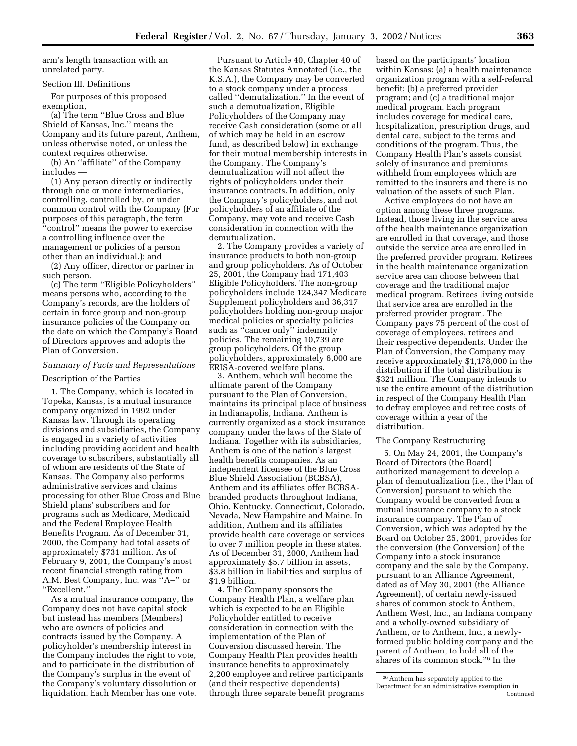arm's length transaction with an unrelated party.

### Section III. Definitions

For purposes of this proposed exemption,

(a) The term ''Blue Cross and Blue Shield of Kansas, Inc.'' means the Company and its future parent, Anthem, unless otherwise noted, or unless the context requires otherwise.

(b) An ''affiliate'' of the Company includes —

(1) Any person directly or indirectly through one or more intermediaries, controlling, controlled by, or under common control with the Company (For purposes of this paragraph, the term 'control'' means the power to exercise a controlling influence over the management or policies of a person other than an individual.); and

(2) Any officer, director or partner in such person.

(c) The term ''Eligible Policyholders'' means persons who, according to the Company's records, are the holders of certain in force group and non-group insurance policies of the Company on the date on which the Company's Board of Directors approves and adopts the Plan of Conversion.

#### *Summary of Facts and Representations*

#### Description of the Parties

1. The Company, which is located in Topeka, Kansas, is a mutual insurance company organized in 1992 under Kansas law. Through its operating divisions and subsidiaries, the Company is engaged in a variety of activities including providing accident and health coverage to subscribers, substantially all of whom are residents of the State of Kansas. The Company also performs administrative services and claims processing for other Blue Cross and Blue Shield plans' subscribers and for programs such as Medicare, Medicaid and the Federal Employee Health Benefits Program. As of December 31, 2000, the Company had total assets of approximately \$731 million. As of February 9, 2001, the Company's most recent financial strength rating from A.M. Best Company, Inc. was ''A–'' or ''Excellent.''

As a mutual insurance company, the Company does not have capital stock but instead has members (Members) who are owners of policies and contracts issued by the Company. A policyholder's membership interest in the Company includes the right to vote, and to participate in the distribution of the Company's surplus in the event of the Company's voluntary dissolution or liquidation. Each Member has one vote.

Pursuant to Article 40, Chapter 40 of the Kansas Statutes Annotated (i.e., the K.S.A.), the Company may be converted to a stock company under a process called ''demutalization.'' In the event of such a demutualization, Eligible Policyholders of the Company may receive Cash consideration (some or all of which may be held in an escrow fund, as described below) in exchange for their mutual membership interests in the Company. The Company's demutualization will not affect the rights of policyholders under their insurance contracts. In addition, only the Company's policyholders, and not policyholders of an affiliate of the Company, may vote and receive Cash consideration in connection with the demutualization.

2. The Company provides a variety of insurance products to both non-group and group policyholders. As of October 25, 2001, the Company had 171,403 Eligible Policyholders. The non-group policyholders include 124,347 Medicare Supplement policyholders and 36,317 policyholders holding non-group major medical policies or specialty policies such as ''cancer only'' indemnity policies. The remaining 10,739 are group policyholders. Of the group policyholders, approximately 6,000 are ERISA-covered welfare plans.

3. Anthem, which will become the ultimate parent of the Company pursuant to the Plan of Conversion, maintains its principal place of business in Indianapolis, Indiana. Anthem is currently organized as a stock insurance company under the laws of the State of Indiana. Together with its subsidiaries, Anthem is one of the nation's largest health benefits companies. As an independent licensee of the Blue Cross Blue Shield Association (BCBSA), Anthem and its affiliates offer BCBSAbranded products throughout Indiana, Ohio, Kentucky, Connecticut, Colorado, Nevada, New Hampshire and Maine. In addition, Anthem and its affiliates provide health care coverage or services to over 7 million people in these states. As of December 31, 2000, Anthem had approximately \$5.7 billion in assets, \$3.8 billion in liabilities and surplus of \$1.9 billion.

4. The Company sponsors the Company Health Plan, a welfare plan which is expected to be an Eligible Policyholder entitled to receive consideration in connection with the implementation of the Plan of Conversion discussed herein. The Company Health Plan provides health insurance benefits to approximately 2,200 employee and retiree participants (and their respective dependents) through three separate benefit programs

based on the participants' location within Kansas: (a) a health maintenance organization program with a self-referral benefit; (b) a preferred provider program; and (c) a traditional major medical program. Each program includes coverage for medical care, hospitalization, prescription drugs, and dental care, subject to the terms and conditions of the program. Thus, the Company Health Plan's assets consist solely of insurance and premiums withheld from employees which are remitted to the insurers and there is no valuation of the assets of such Plan.

Active employees do not have an option among these three programs. Instead, those living in the service area of the health maintenance organization are enrolled in that coverage, and those outside the service area are enrolled in the preferred provider program. Retirees in the health maintenance organization service area can choose between that coverage and the traditional major medical program. Retirees living outside that service area are enrolled in the preferred provider program. The Company pays 75 percent of the cost of coverage of employees, retirees and their respective dependents. Under the Plan of Conversion, the Company may receive approximately \$1,178,000 in the distribution if the total distribution is \$321 million. The Company intends to use the entire amount of the distribution in respect of the Company Health Plan to defray employee and retiree costs of coverage within a year of the distribution.

#### The Company Restructuring

5. On May 24, 2001, the Company's Board of Directors (the Board) authorized management to develop a plan of demutualization (i.e., the Plan of Conversion) pursuant to which the Company would be converted from a mutual insurance company to a stock insurance company. The Plan of Conversion, which was adopted by the Board on October 25, 2001, provides for the conversion (the Conversion) of the Company into a stock insurance company and the sale by the Company, pursuant to an Alliance Agreement, dated as of May 30, 2001 (the Alliance Agreement), of certain newly-issued shares of common stock to Anthem, Anthem West, Inc., an Indiana company and a wholly-owned subsidiary of Anthem, or to Anthem, Inc., a newlyformed public holding company and the parent of Anthem, to hold all of the shares of its common stock.26 In the

<sup>26</sup>Anthem has separately applied to the Department for an administrative exemption in Continued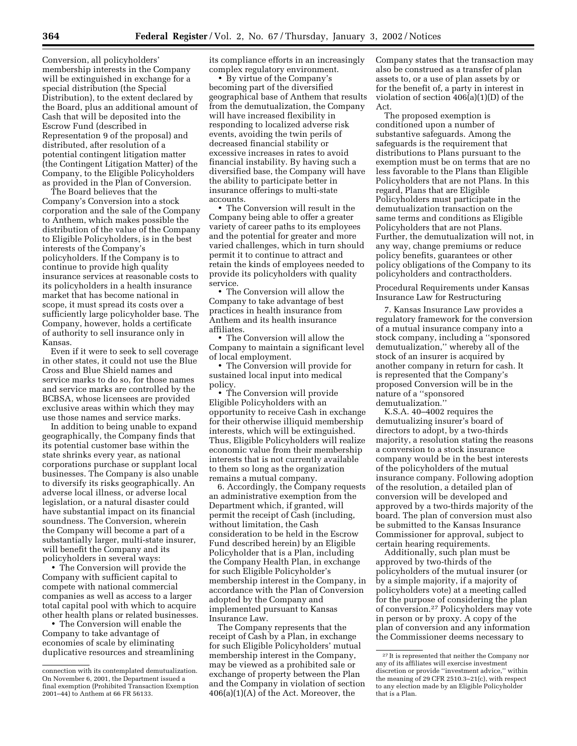Conversion, all policyholders' membership interests in the Company will be extinguished in exchange for a special distribution (the Special Distribution), to the extent declared by the Board, plus an additional amount of Cash that will be deposited into the Escrow Fund (described in Representation 9 of the proposal) and distributed, after resolution of a potential contingent litigation matter (the Contingent Litigation Matter) of the Company, to the Eligible Policyholders as provided in the Plan of Conversion.

The Board believes that the Company's Conversion into a stock corporation and the sale of the Company to Anthem, which makes possible the distribution of the value of the Company to Eligible Policyholders, is in the best interests of the Company's policyholders. If the Company is to continue to provide high quality insurance services at reasonable costs to its policyholders in a health insurance market that has become national in scope, it must spread its costs over a sufficiently large policyholder base. The Company, however, holds a certificate of authority to sell insurance only in Kansas.

Even if it were to seek to sell coverage in other states, it could not use the Blue Cross and Blue Shield names and service marks to do so, for those names and service marks are controlled by the BCBSA, whose licensees are provided exclusive areas within which they may use those names and service marks.

In addition to being unable to expand geographically, the Company finds that its potential customer base within the state shrinks every year, as national corporations purchase or supplant local businesses. The Company is also unable to diversify its risks geographically. An adverse local illness, or adverse local legislation, or a natural disaster could have substantial impact on its financial soundness. The Conversion, wherein the Company will become a part of a substantially larger, multi-state insurer, will benefit the Company and its policyholders in several ways:

• The Conversion will provide the Company with sufficient capital to compete with national commercial companies as well as access to a larger total capital pool with which to acquire other health plans or related businesses.

• The Conversion will enable the Company to take advantage of economies of scale by eliminating duplicative resources and streamlining its compliance efforts in an increasingly complex regulatory environment.

• By virtue of the Company's becoming part of the diversified geographical base of Anthem that results from the demutualization, the Company will have increased flexibility in responding to localized adverse risk events, avoiding the twin perils of decreased financial stability or excessive increases in rates to avoid financial instability. By having such a diversified base, the Company will have the ability to participate better in insurance offerings to multi-state accounts.

• The Conversion will result in the Company being able to offer a greater variety of career paths to its employees and the potential for greater and more varied challenges, which in turn should permit it to continue to attract and retain the kinds of employees needed to provide its policyholders with quality service.

• The Conversion will allow the Company to take advantage of best practices in health insurance from Anthem and its health insurance affiliates.

• The Conversion will allow the Company to maintain a significant level of local employment.

• The Conversion will provide for sustained local input into medical policy.

• The Conversion will provide Eligible Policyholders with an opportunity to receive Cash in exchange for their otherwise illiquid membership interests, which will be extinguished. Thus, Eligible Policyholders will realize economic value from their membership interests that is not currently available to them so long as the organization remains a mutual company.

6. Accordingly, the Company requests an administrative exemption from the Department which, if granted, will permit the receipt of Cash (including, without limitation, the Cash consideration to be held in the Escrow Fund described herein) by an Eligible Policyholder that is a Plan, including the Company Health Plan, in exchange for such Eligible Policyholder's membership interest in the Company, in accordance with the Plan of Conversion adopted by the Company and implemented pursuant to Kansas Insurance Law.

The Company represents that the receipt of Cash by a Plan, in exchange for such Eligible Policyholders' mutual membership interest in the Company, may be viewed as a prohibited sale or exchange of property between the Plan and the Company in violation of section 406(a)(1)(A) of the Act. Moreover, the

Company states that the transaction may also be construed as a transfer of plan assets to, or a use of plan assets by or for the benefit of, a party in interest in violation of section  $406(a)(1)(D)$  of the Act.

The proposed exemption is conditioned upon a number of substantive safeguards. Among the safeguards is the requirement that distributions to Plans pursuant to the exemption must be on terms that are no less favorable to the Plans than Eligible Policyholders that are not Plans. In this regard, Plans that are Eligible Policyholders must participate in the demutualization transaction on the same terms and conditions as Eligible Policyholders that are not Plans. Further, the demutualization will not, in any way, change premiums or reduce policy benefits, guarantees or other policy obligations of the Company to its policyholders and contractholders.

Procedural Requirements under Kansas Insurance Law for Restructuring

7. Kansas Insurance Law provides a regulatory framework for the conversion of a mutual insurance company into a stock company, including a ''sponsored demutualization,'' whereby all of the stock of an insurer is acquired by another company in return for cash. It is represented that the Company's proposed Conversion will be in the nature of a ''sponsored demutualization.''

K.S.A. 40–4002 requires the demutualizing insurer's board of directors to adopt, by a two-thirds majority, a resolution stating the reasons a conversion to a stock insurance company would be in the best interests of the policyholders of the mutual insurance company. Following adoption of the resolution, a detailed plan of conversion will be developed and approved by a two-thirds majority of the board. The plan of conversion must also be submitted to the Kansas Insurance Commissioner for approval, subject to certain hearing requirements.

Additionally, such plan must be approved by two-thirds of the policyholders of the mutual insurer (or by a simple majority, if a majority of policyholders vote) at a meeting called for the purpose of considering the plan of conversion.27 Policyholders may vote in person or by proxy. A copy of the plan of conversion and any information the Commissioner deems necessary to

connection with its contemplated demutualization. On November 6, 2001, the Department issued a final exemption (Prohibited Transaction Exemption 2001–44) to Anthem at 66 FR 56133.

<sup>&</sup>lt;sup>27</sup> It is represented that neither the Company nor any of its affiliates will exercise investment discretion or provide ''investment advice,'' within the meaning of 29 CFR 2510.3–21(c), with respect to any election made by an Eligible Policyholder that is a Plan.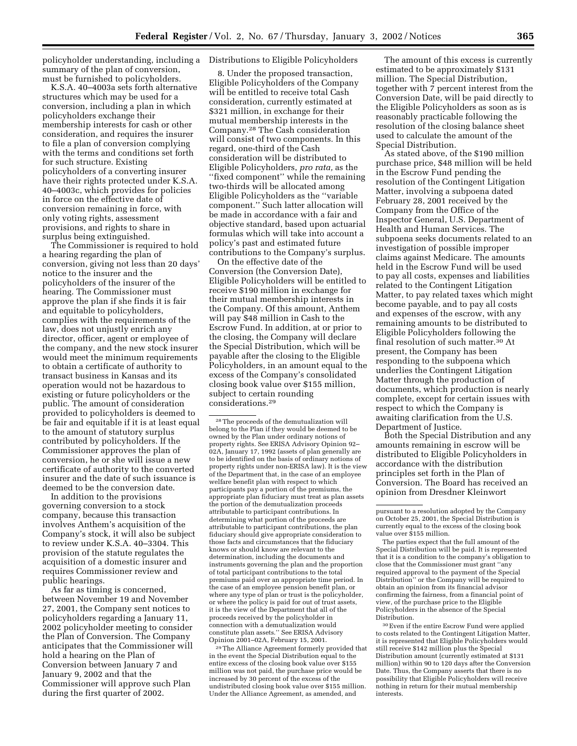policyholder understanding, including a Distributions to Eligible Policyholders summary of the plan of conversion, must be furnished to policyholders.

K.S.A. 40–4003a sets forth alternative structures which may be used for a conversion, including a plan in which policyholders exchange their membership interests for cash or other consideration, and requires the insurer to file a plan of conversion complying with the terms and conditions set forth for such structure. Existing policyholders of a converting insurer have their rights protected under K.S.A. 40–4003c, which provides for policies in force on the effective date of conversion remaining in force, with only voting rights, assessment provisions, and rights to share in surplus being extinguished.

The Commissioner is required to hold a hearing regarding the plan of conversion, giving not less than 20 days' notice to the insurer and the policyholders of the insurer of the hearing. The Commissioner must approve the plan if she finds it is fair and equitable to policyholders, complies with the requirements of the law, does not unjustly enrich any director, officer, agent or employee of the company, and the new stock insurer would meet the minimum requirements to obtain a certificate of authority to transact business in Kansas and its operation would not be hazardous to existing or future policyholders or the public. The amount of consideration provided to policyholders is deemed to be fair and equitable if it is at least equal to the amount of statutory surplus contributed by policyholders. If the Commissioner approves the plan of conversion, he or she will issue a new certificate of authority to the converted insurer and the date of such issuance is deemed to be the conversion date.

In addition to the provisions governing conversion to a stock company, because this transaction involves Anthem's acquisition of the Company's stock, it will also be subject to review under K.S.A. 40–3304. This provision of the statute regulates the acquisition of a domestic insurer and requires Commissioner review and public hearings.

As far as timing is concerned, between November 19 and November 27, 2001, the Company sent notices to policyholders regarding a January 11, 2002 policyholder meeting to consider the Plan of Conversion. The Company anticipates that the Commissioner will hold a hearing on the Plan of Conversion between January 7 and January 9, 2002 and that the Commissioner will approve such Plan during the first quarter of 2002.

8. Under the proposed transaction, Eligible Policyholders of the Company will be entitled to receive total Cash consideration, currently estimated at \$321 million, in exchange for their mutual membership interests in the Company.28 The Cash consideration will consist of two components. In this regard, one-third of the Cash consideration will be distributed to Eligible Policyholders, *pro rata,* as the ''fixed component'' while the remaining two-thirds will be allocated among Eligible Policyholders as the ''variable component.'' Such latter allocation will be made in accordance with a fair and objective standard, based upon actuarial formulas which will take into account a policy's past and estimated future contributions to the Company's surplus.

On the effective date of the Conversion (the Conversion Date), Eligible Policyholders will be entitled to receive \$190 million in exchange for their mutual membership interests in the Company. Of this amount, Anthem will pay \$48 million in Cash to the Escrow Fund. In addition, at or prior to the closing, the Company will declare the Special Distribution, which will be payable after the closing to the Eligible Policyholders, in an amount equal to the excess of the Company's consolidated closing book value over \$155 million, subject to certain rounding considerations.29

28The proceeds of the demutualization will belong to the Plan if they would be deemed to be owned by the Plan under ordinary notions of property rights. See ERISA Advisory Opinion 92– 02A, January 17, 1992 (assets of plan generally are to be identified on the basis of ordinary notions of property rights under non-ERISA law). It is the view of the Department that, in the case of an employee welfare benefit plan with respect to which participants pay a portion of the premiums, the appropriate plan fiduciary must treat as plan assets the portion of the demutualization proceeds attributable to participant contributions. In determining what portion of the proceeds are attributable to participant contributions, the plan fiduciary should give appropriate consideration to those facts and circumstances that the fiduciary knows or should know are relevant to the determination, including the documents and instruments governing the plan and the proportion of total participant contributions to the total premiums paid over an appropriate time period. In the case of an employee pension benefit plan, or where any type of plan or trust is the policyholder, or where the policy is paid for out of trust assets, it is the view of the Department that all of the proceeds received by the policyholder in connection with a demutualization would constitute plan assets.'' See ERISA Advisory Opinion 2001–02A, February 15, 2001.

29The Alliance Agreement formerly provided that in the event the Special Distribution equal to the entire excess of the closing book value over \$155 million was not paid, the purchase price would be increased by 30 percent of the excess of the undistributed closing book value over \$155 million. Under the Alliance Agreement, as amended, and

The amount of this excess is currently estimated to be approximately \$131 million. The Special Distribution, together with 7 percent interest from the Conversion Date, will be paid directly to the Eligible Policyholders as soon as is reasonably practicable following the resolution of the closing balance sheet used to calculate the amount of the Special Distribution.

As stated above, of the \$190 million purchase price, \$48 million will be held in the Escrow Fund pending the resolution of the Contingent Litigation Matter, involving a subpoena dated February 28, 2001 received by the Company from the Office of the Inspector General, U.S. Department of Health and Human Services. The subpoena seeks documents related to an investigation of possible improper claims against Medicare. The amounts held in the Escrow Fund will be used to pay all costs, expenses and liabilities related to the Contingent Litigation Matter, to pay related taxes which might become payable, and to pay all costs and expenses of the escrow, with any remaining amounts to be distributed to Eligible Policyholders following the final resolution of such matter.30 At present, the Company has been responding to the subpoena which underlies the Contingent Litigation Matter through the production of documents, which production is nearly complete, except for certain issues with respect to which the Company is awaiting clarification from the U.S. Department of Justice.

Both the Special Distribution and any amounts remaining in escrow will be distributed to Eligible Policyholders in accordance with the distribution principles set forth in the Plan of Conversion. The Board has received an opinion from Dresdner Kleinwort

The parties expect that the full amount of the Special Distribution will be paid. It is represented that it is a condition to the company's obligation to close that the Commissioner must grant ''any required approval to the payment of the Special Distribution'' or the Company will be required to obtain an opinion from its financial advisor confirming the fairness, from a financial point of view, of the purchase price to the Eligible Policyholders in the absence of the Special Distribution.

30Even if the entire Escrow Fund were applied to costs related to the Contingent Litigation Matter, it is represented that Eligible Policyholders would still receive \$142 million plus the Special Distribution amount (currently estimated at \$131 million) within 90 to 120 days after the Conversion Date. Thus, the Company asserts that there is no possibility that Eligible Policyholders will receive nothing in return for their mutual membership interests.

pursuant to a resolution adopted by the Company on October 25, 2001, the Special Distribution is currently equal to the excess of the closing book value over \$155 million.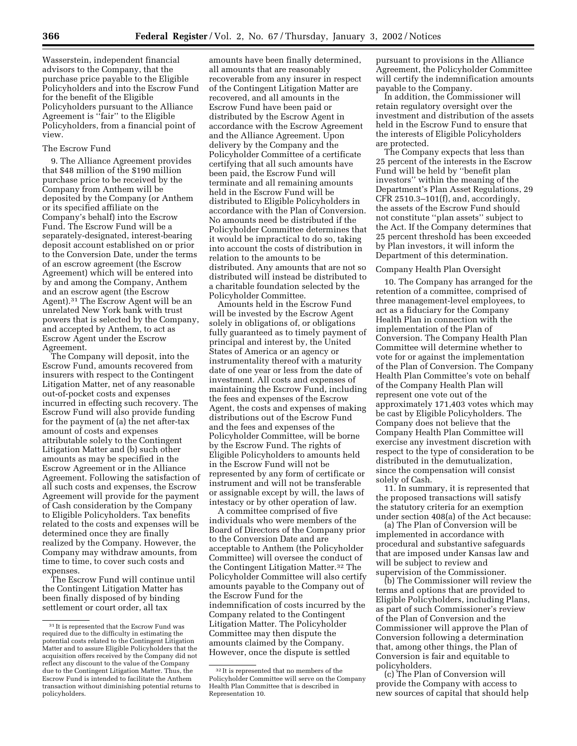Wasserstein, independent financial advisors to the Company, that the purchase price payable to the Eligible Policyholders and into the Escrow Fund for the benefit of the Eligible Policyholders pursuant to the Alliance Agreement is ''fair'' to the Eligible Policyholders, from a financial point of view.

### The Escrow Fund

9. The Alliance Agreement provides that \$48 million of the \$190 million purchase price to be received by the Company from Anthem will be deposited by the Company (or Anthem or its specified affiliate on the Company's behalf) into the Escrow Fund. The Escrow Fund will be a separately-designated, interest-bearing deposit account established on or prior to the Conversion Date, under the terms of an escrow agreement (the Escrow Agreement) which will be entered into by and among the Company, Anthem and an escrow agent (the Escrow Agent).31 The Escrow Agent will be an unrelated New York bank with trust powers that is selected by the Company, and accepted by Anthem, to act as Escrow Agent under the Escrow Agreement.

The Company will deposit, into the Escrow Fund, amounts recovered from insurers with respect to the Contingent Litigation Matter, net of any reasonable out-of-pocket costs and expenses incurred in effecting such recovery. The Escrow Fund will also provide funding for the payment of (a) the net after-tax amount of costs and expenses attributable solely to the Contingent Litigation Matter and (b) such other amounts as may be specified in the Escrow Agreement or in the Alliance Agreement. Following the satisfaction of all such costs and expenses, the Escrow Agreement will provide for the payment of Cash consideration by the Company to Eligible Policyholders. Tax benefits related to the costs and expenses will be determined once they are finally realized by the Company. However, the Company may withdraw amounts, from time to time, to cover such costs and expenses.

The Escrow Fund will continue until the Contingent Litigation Matter has been finally disposed of by binding settlement or court order, all tax

amounts have been finally determined, all amounts that are reasonably recoverable from any insurer in respect of the Contingent Litigation Matter are recovered, and all amounts in the Escrow Fund have been paid or distributed by the Escrow Agent in accordance with the Escrow Agreement and the Alliance Agreement. Upon delivery by the Company and the Policyholder Committee of a certificate certifying that all such amounts have been paid, the Escrow Fund will terminate and all remaining amounts held in the Escrow Fund will be distributed to Eligible Policyholders in accordance with the Plan of Conversion. No amounts need be distributed if the Policyholder Committee determines that it would be impractical to do so, taking into account the costs of distribution in relation to the amounts to be distributed. Any amounts that are not so distributed will instead be distributed to a charitable foundation selected by the Policyholder Committee.

Amounts held in the Escrow Fund will be invested by the Escrow Agent solely in obligations of, or obligations fully guaranteed as to timely payment of principal and interest by, the United States of America or an agency or instrumentality thereof with a maturity date of one year or less from the date of investment. All costs and expenses of maintaining the Escrow Fund, including the fees and expenses of the Escrow Agent, the costs and expenses of making distributions out of the Escrow Fund and the fees and expenses of the Policyholder Committee, will be borne by the Escrow Fund. The rights of Eligible Policyholders to amounts held in the Escrow Fund will not be represented by any form of certificate or instrument and will not be transferable or assignable except by will, the laws of intestacy or by other operation of law.

A committee comprised of five individuals who were members of the Board of Directors of the Company prior to the Conversion Date and are acceptable to Anthem (the Policyholder Committee) will oversee the conduct of the Contingent Litigation Matter.32 The Policyholder Committee will also certify amounts payable to the Company out of the Escrow Fund for the indemnification of costs incurred by the Company related to the Contingent Litigation Matter. The Policyholder Committee may then dispute the amounts claimed by the Company. However, once the dispute is settled

pursuant to provisions in the Alliance Agreement, the Policyholder Committee will certify the indemnification amounts payable to the Company.

In addition, the Commissioner will retain regulatory oversight over the investment and distribution of the assets held in the Escrow Fund to ensure that the interests of Eligible Policyholders are protected.

The Company expects that less than 25 percent of the interests in the Escrow Fund will be held by ''benefit plan investors'' within the meaning of the Department's Plan Asset Regulations, 29 CFR 2510.3–101(f), and, accordingly, the assets of the Escrow Fund should not constitute ''plan assets'' subject to the Act. If the Company determines that 25 percent threshold has been exceeded by Plan investors, it will inform the Department of this determination.

#### Company Health Plan Oversight

10. The Company has arranged for the retention of a committee, comprised of three management-level employees, to act as a fiduciary for the Company Health Plan in connection with the implementation of the Plan of Conversion. The Company Health Plan Committee will determine whether to vote for or against the implementation of the Plan of Conversion. The Company Health Plan Committee's vote on behalf of the Company Health Plan will represent one vote out of the approximately 171,403 votes which may be cast by Eligible Policyholders. The Company does not believe that the Company Health Plan Committee will exercise any investment discretion with respect to the type of consideration to be distributed in the demutualization, since the compensation will consist solely of Cash.

11. In summary, it is represented that the proposed transactions will satisfy the statutory criteria for an exemption under section 408(a) of the Act because:

(a) The Plan of Conversion will be implemented in accordance with procedural and substantive safeguards that are imposed under Kansas law and will be subject to review and supervision of the Commissioner.

(b) The Commissioner will review the terms and options that are provided to Eligible Policyholders, including Plans, as part of such Commissioner's review of the Plan of Conversion and the Commissioner will approve the Plan of Conversion following a determination that, among other things, the Plan of Conversion is fair and equitable to policyholders.

(c) The Plan of Conversion will provide the Company with access to new sources of capital that should help

<sup>31</sup> It is represented that the Escrow Fund was required due to the difficulty in estimating the potential costs related to the Contingent Litigation Matter and to assure Eligible Policyholders that the acquisition offers received by the Company did not reflect any discount to the value of the Company due to the Contingent Litigation Matter. Thus, the Escrow Fund is intended to facilitate the Anthem transaction without diminishing potential returns to policyholders.

<sup>32</sup> It is represented that no members of the Policyholder Committee will serve on the Company Health Plan Committee that is described in Representation 10.